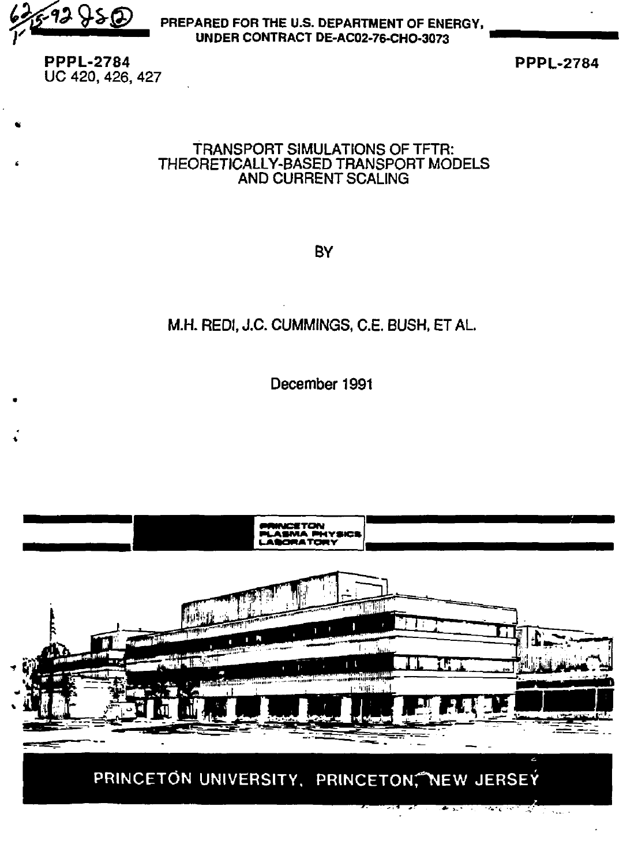$42950$ 

**PREPARED FOR THE U.S. DEPARTMENT OF ENERGY,**  *•y* **VBBBBBBBB^B^BBl UNDER CONTRACT DE-AC02-76-CHO-3073** 

**PPPL-2784 UC** 420, 426, 427

**PPPL-2784** 

### TRANSPORT SIMULATIONS OF TFTR: THEORETICALLY-BASED TRANSPORT MODELS AND CURRENT SCALING

**BY** 

# M.H. REDI, J.C. CUMMINGS, C.E. BUSH, ET AL

December 1991

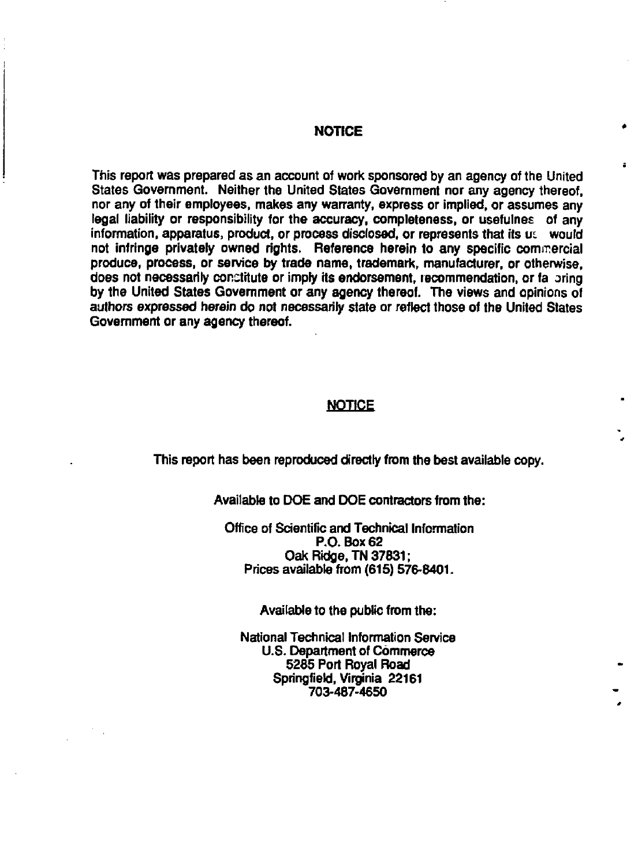#### **NOTICE**

**This report was prepared as an account of work sponsored by an agency of the United States Government. Neither the United States Government nor any agency thereof, nor any of their employees, makes any warranty, express or implied, or assumes any legal liability or responsibility for the accuracy, completeness, or usefulnes of any information, apparatus, product, or process disclosed, or represents that its ui would not infringe privately owned rights. Reference herein to any specific commercial produce, process, or service by trade name, trademark, manufacturer, or otherwise,**  does not necessarily constitute or imply its endorsement, recommendation, or fa pring **by the United States Government or any agency thereof. The views and opinions of authors expressed herein do not necessarily state or reflect those of the United States Government or any agency thereof.** 

#### **NOTICE**

**This report has been reproduced directly from the best available copy.** 

**Available to DOE and DOE contractors from the:** 

**Office of Scientific and Technical Information P.O. Box 62 Oak Ridge, TN 37831; Prices available from (615) 576-8401.** 

**Available to the public from the:** 

**National Technical Information Service U.S. Department of Commerce 5285 Port Royal Road Springfield, Virginia 22161 703-487-4650**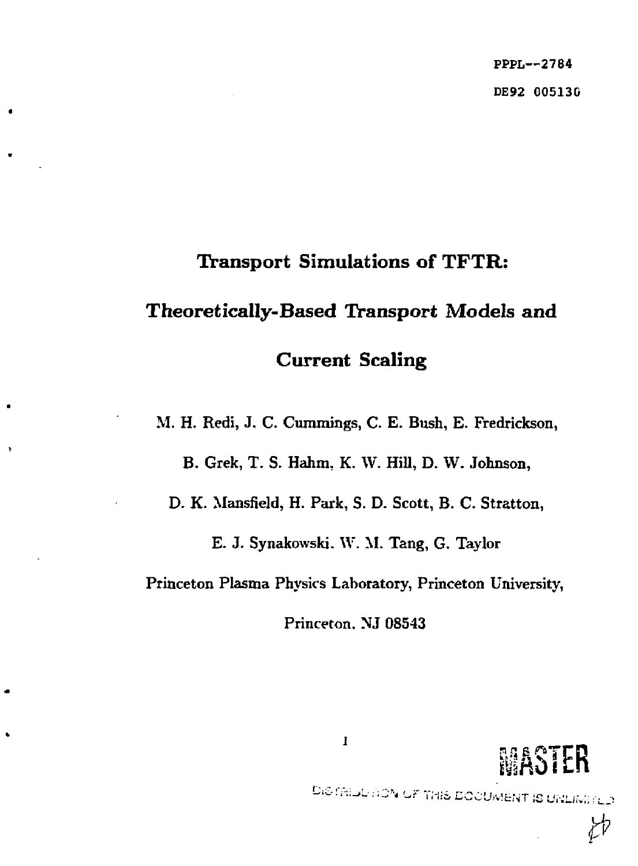PPPL—2784 DE92 005130

# Transport Simulations of TFTR: Theoretically-Based Transport Models and Current Scaling

M. H. Redi, J. C. Cumrnings, C. E. Bush, E. Fredrickson,

B. Grek, T. S. Hahm, K. W. Hill, D. W. Johnson,

D. K. Mansfield, H. Park, S. D. Scott, B. C. Stratton,

E. J. Synakowski. W. M. Tang, G. Taylor

Princeton Plasma Physics Laboratory, Princeton University,

Princeton. NJ 08543



DISTRIBUTION OF THIS DOCUMENT IS UNLIMITED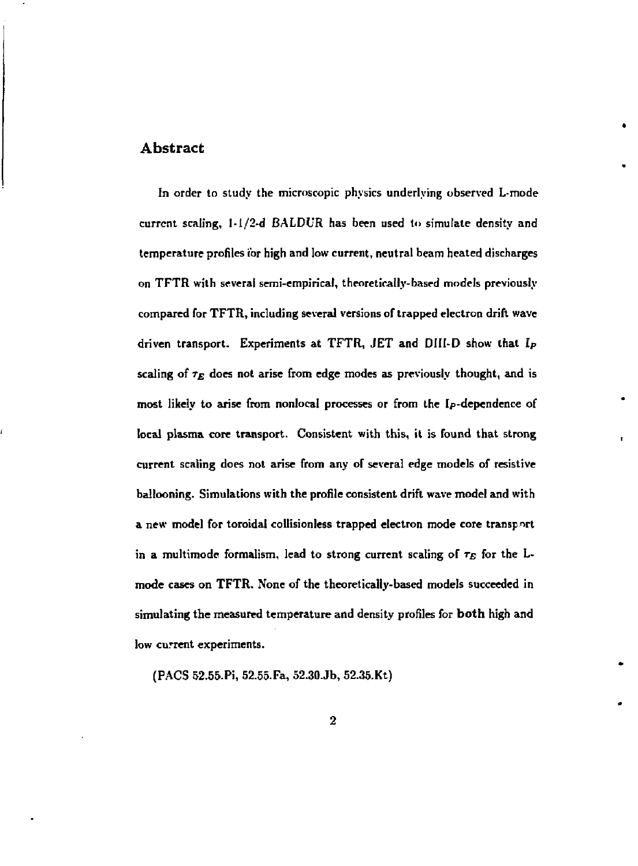#### Abstract

**In order to study the microscopic physics underlying observed L-mode current scaling, l-l/2-d BALDUR has been used to simulate density and temperature profiles for high and low current, neutral beam heated discharges on TFTR with several semi-empirical, theoretically-based models previously compared for TFTR, including several versions of trapped electron drift wave driven transport. Experiments at TFTR, JET and DIII-D show that** *lp*  **scaling of** *r<sup>E</sup>*  **does not arise from edge modes as previously thought, and is most likely to arise from nonlocal processes or from the [p-dependence of local plasma core transport. Consistent with this, it is found that strong current scaling does not arise from any of several edge models of resistive ballooning. Simulations with the profile consistent drift wave model and with a new model for toroidal collisionless trapped electron mode core transport**  in a multimode formalism, lead to strong current scaling of  $\tau_E$  for the L**mode cases on TFTR. None of the theoretically-based models succeeded in simulating the measured temperature and density profiles for both high and low current experiments.** 

**(PACS 52.55.Pi, 52.55.Fa, 52.30.Jb, 52.35.Kt)**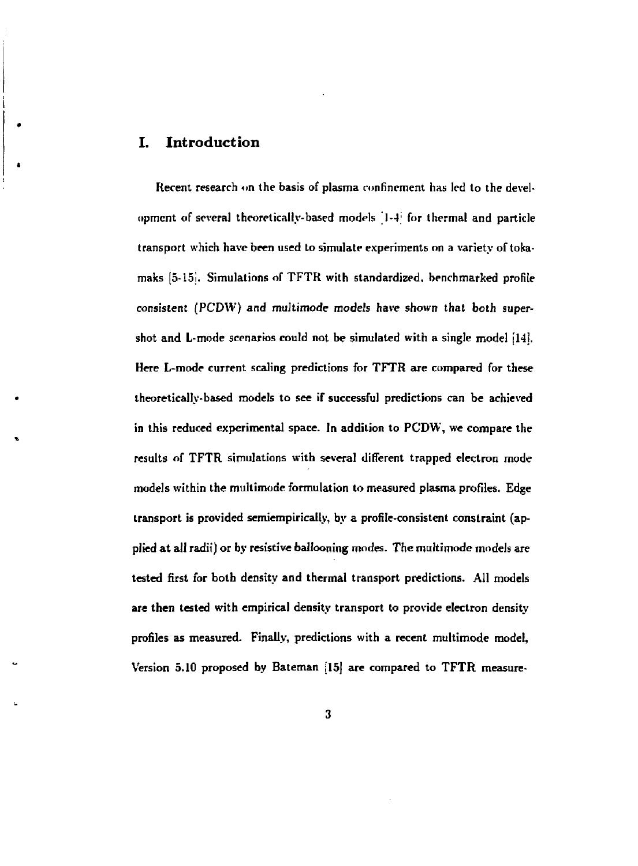#### **I. Introduction**

**Recent research on the basis of plasma confinement has led to the development of several theoretically-based models " 1 —I; for thermal and particle transport which have been used to simulate experiments on a variety of tokamaks [5-151. Simulations of TFTR with standardized, benchmarked profile consistent (PCDW) and multimode** *models* **have shown that both supershot and L-mode scenarios could not be simulated with a single model [14], Here L-mode current scaling predictions for TFTR are compared for these theoretically-based models to see if successful predictions can be achieved in this reduced experimental space. In addition to PCDW, we compare the results of TFTR simulations with several different trapped electron mode models ivithin the multimode formulation to measured plasma profiles. Edge transport is provided semiempirically, by a profile-consistent constraint (applied at all radii) or by resistive ballooning modes. The multimode models are tested first for both density and thermal transport predictions. All models are then tested with empirical density transport to provide electron density profiles as measured. Finally, predictions with a recent multimode model, Version 5.10 proposed by Bateman [15] are compared to TFTR measure-**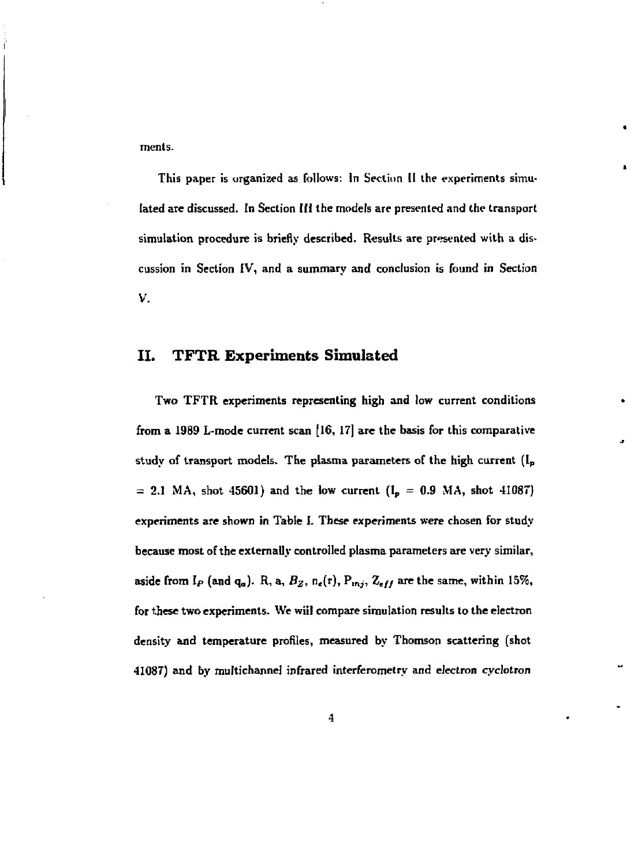**ments.** 

**This paper is organized as follows: In Section II the experiments simulated are discussed. In Section Hi the models are presented and the transport simulation procedure is briefly described. Results are presented with a discussion in Section IV, and a summary and conclusion is found in Section V.** 

#### **II. TFTR Experiments Simulated**

**Two TFTR experiments representing high and low current conditions from a 1989 L-mode current scan [16, 17] are the basis for this comparative**  study of transport models. The plasma parameters of the high current (I<sub>p</sub>  $= 2.1$  MA, shot 45601) and the low current  $(I_p = 0.9$  MA, shot 41087) **experiments are shown in Table I. These experiments were chosen for study because most of the externally controlled plasma parameters are very similar,**  aside from  $I_P$  (and  $q_a$ ). R, a,  $B_Z$ ,  $n_e(r)$ ,  $P_{inj}$ ,  $Z_{eff}$  are the same, within 15%, **for these two experiments. We wiil compare simulation results to the electron density and temperature profiles, measured by Thomson scattering (shot 41087) and by multichannel infrared interferometry and electron cyclotron**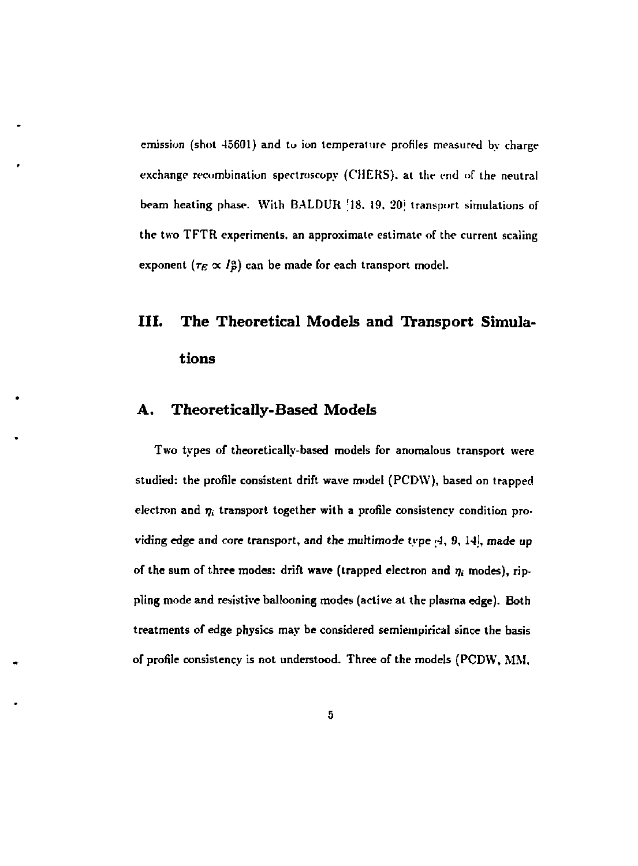emission (shot 45601) and to ion temperature profiles measured by charge exchange recombination spectroscopy (CHERS), at the end of the neutral beam heating phase. With BALDUR [18, 19, 20] transport simulations of the two TFTR experiments, an approximate estimate of the current scaling exponent  $(\tau_E \propto I_P^{\alpha})$  can be made for each transport model.

# **III. The Theoretical Models and Transport Simulations**

## **A. Theoretically-Based Models**

Two types of theoretically-based models for anomalous transport were studied: the profile consistent drift wave model (PCDW), based on trapped electron and  $\eta_i$  transport together with a profile consistency condition providing edge and core transport, and the multimode type ;4, 9, 14], made up of the sum of three modes: drift wave (trapped electron and  $\eta_i$  modes), rippling mode and resistive ballooning modes (active at the plasma edge). Both treatments of edge physics may be considered semiempirical since the basis of profile consistency is not understood. Three of the models (PCDW, MM,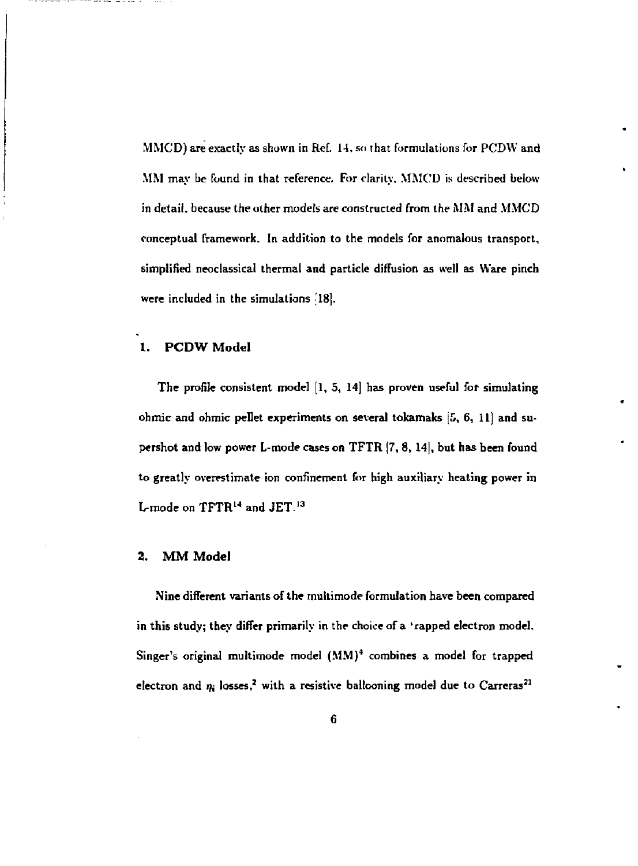MMCD) are exactly as shown in Ref. 14. so that formulations for PCDW and MM may be found in that reference. For clarity. MMC'D is described below in detail, because the other models are constructed from the MM and MMCD conceptual framework. In addition to the models for anomalous transport, simplified neoclassical thermal and particle diffusion as well as Ware pinch were included in the simulations '18].

#### **1. PCDW** Model

The profile consistent model [1, 5, 14] has proven useful for simulating ohmic and ohmic pellet experiments on several tokamaks  $[5, 6, 11]$  and supershot and low power L-mode cases on TPTR (7, 8,**14],** but has been found to greatly overestimate ion confinement for high auxiliary heating power in L-mode on  $\rm TFTR^{14}$  and  $\rm JET^{13}$ 

#### 2. **MM** Model

Nine different variants of the multimode formulation have been compared in this study; they differ primarily in the choice of a 'rapped electron model. Singer's original multimode model  $(MM)^4$  combines a model for trapped electron and  $\eta_i$  losses,<sup>2</sup> with a resistive ballooning model due to Carreras<sup>21</sup>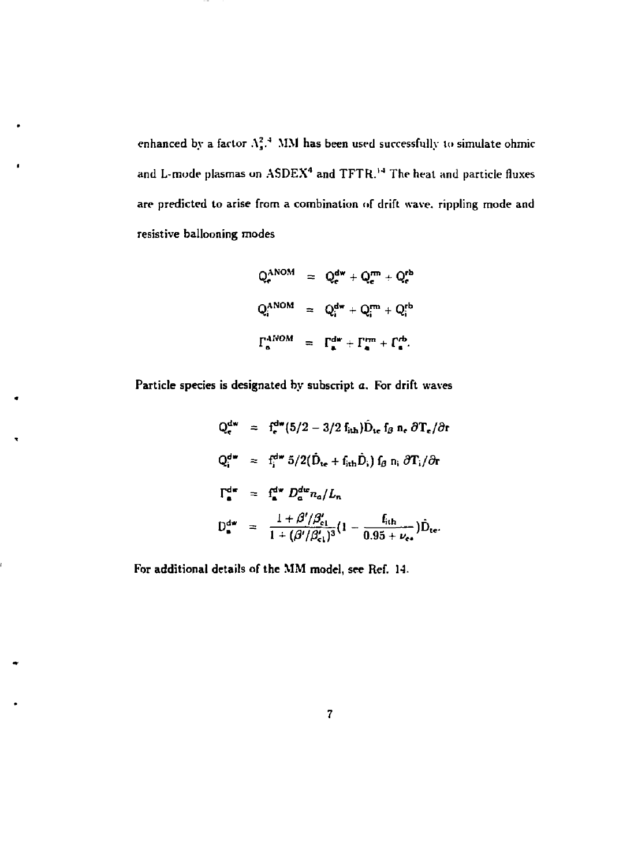enhanced by a factor  $A_s^2$ .<sup>4</sup> MM has been used successfully to simulate ohmic and L-mode plasmas on  ${\rm A}s{\rm DEX^4}$  and  ${\rm TFTR.^{14}}$  The heat and particle fluxes are predicted to arise from a combination of drift wave, rippling mode and resistive ballooning modes

$$
Q_e^{ANOM} = Q_e^{dw} + Q_e^{rm} + Q_e^{rb}
$$
  

$$
Q_i^{ANOM} = Q_i^{dw} + Q_i^{rm} + Q_i^{rb}
$$
  

$$
\Gamma_a^{ANOM} = \Gamma_a^{dw} + \Gamma_a^{rm} + \Gamma_a^{rb}.
$$

Particle species is designated by subscript a. For drift waves

$$
Q_{e}^{dw} = f_{e}^{dw} (5/2 - 3/2 f_{ith}) \hat{D}_{te} f_{\beta} n_{e} \partial T_{e} / \partial t
$$
  
\n
$$
Q_{i}^{dw} = f_{i}^{dw} 5/2 (\hat{D}_{te} + f_{ith} \hat{D}_{i}) f_{\beta} n_{i} \partial T_{i} / \partial t
$$
  
\n
$$
\Gamma_{e}^{dw} = f_{e}^{dw} D_{a}^{dw} n_{a} / L_{n}
$$
  
\n
$$
D_{e}^{dw} = \frac{1 + \beta' / \beta'_{e1}}{1 + (\beta' / \beta'_{e1})^3} (1 - \frac{f_{ith}}{0.95 + \nu_{ee}}) \hat{D}_{te}.
$$

For additional details of the MM model, see Ref. 14.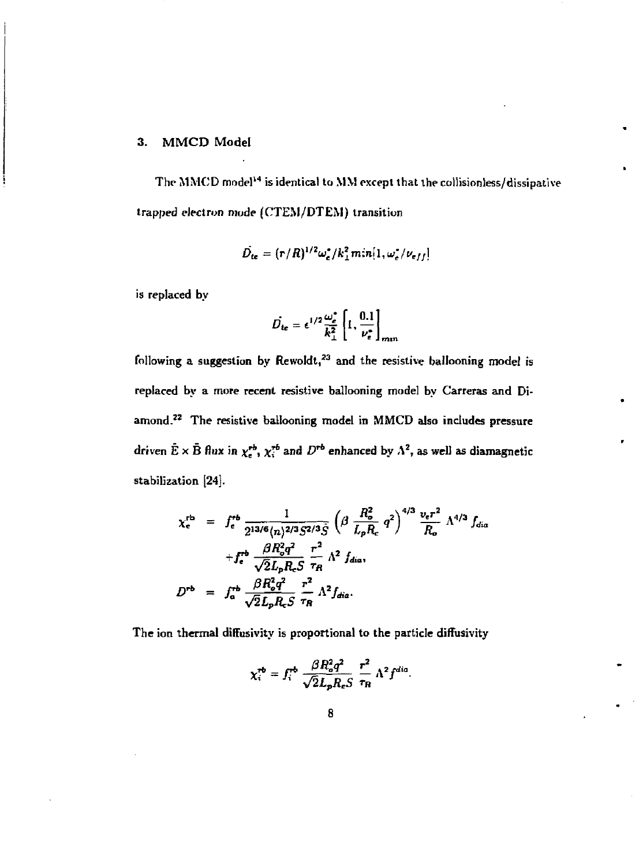#### **3. MMCD Model**

**The MMCD model<sup>14</sup> is identical to MM except that the collisionless/dissipative trapped electron mode (CTEM/DTEM) transition** 

$$
\hat{D}_{te} = (r/R)^{1/2} \omega_e^* / k_{\perp}^2 m n [1, \omega_e^* / \nu_{eff}]
$$

**is replaced by** 

$$
\vec{D}_{te} = \epsilon^{1/2} \frac{\omega_e^*}{k_\perp^2} \left[ 1, \frac{0.1}{\nu_e^*} \right]_{min}
$$

**following a suggestion by Rewoldt,<sup>13</sup> and the resistive ballooning model is replaced by a more recent resistive ballooning model by Carreras and Diamond. <sup>2</sup> <sup>2</sup> The resistive ballooning model in MMCD also includes pressure**  driven  $E \times B$  flux in  $\chi^{\text{ro}}_{\epsilon}$ ,  $\chi^{\text{ro}}_{i}$  and  $D^{\text{ro}}$  enhanced by  $\Lambda^2$ , as well as diamagnetic **stabilization [24].** 

$$
\chi_{c}^{\text{rb}} = f_{c}^{\text{rb}} \frac{1}{2^{13/6} (n)^{2/3} S^{2/3} \hat{S}} \left( \beta \frac{R_o^2}{L_p R_c} q^2 \right)^{4/3} \frac{v_c r^2}{R_o} \Lambda^{4/3} f_{dia}
$$
  
+  $f_{c}^{\text{rb}} \frac{\beta R_o^2 q^2}{\sqrt{2} L_p R_c S} \frac{r^2}{\tau_R} \Lambda^2 f_{dia}$ ,  

$$
D^{\text{rb}} = f_{a}^{\text{rb}} \frac{\beta R_o^2 q^2}{\sqrt{2} L_p R_c S} \frac{r^2}{\tau_R} \Lambda^2 f_{dia}.
$$

**The ion thermal diffusivity is proportional to the particle diffusivity** 

$$
\chi_i^{\rm rb} = f_i^{\rm rb} \frac{\beta R_o^2 q^2}{\sqrt{2} L_p R_e S} \frac{r^2}{\tau_R} \Lambda^2 f^{dia}.
$$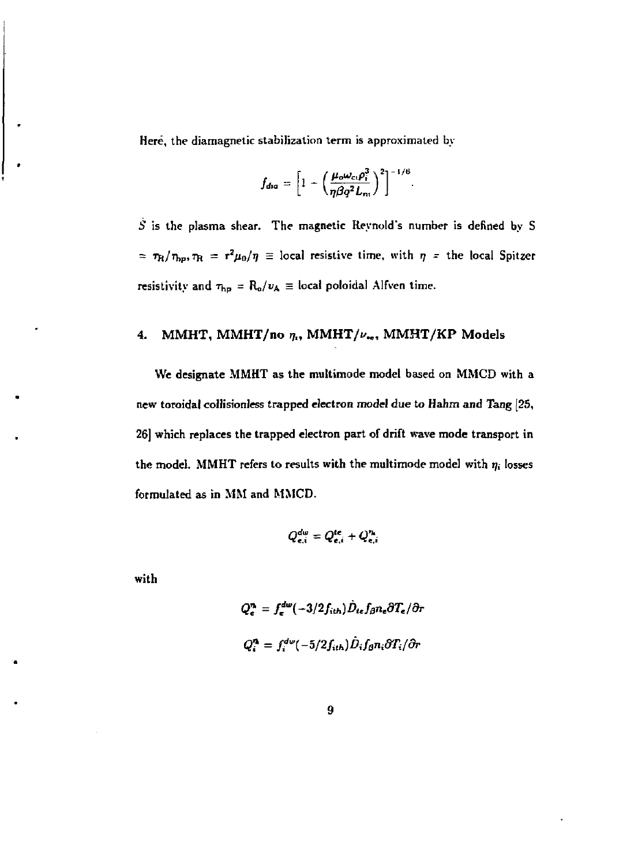**Here, the diamagnetic stabilization term is approximated by** 

$$
f_{dia} = \left[1 - \left(\frac{\mu_o \omega_{ci} \rho_i^3}{\eta \beta q^2 L_{ni}}\right)^2\right]^{-1/6}
$$

**5 is the plasma shear. The magnetic Reynold's number is defined by S**   $= \tau_{\rm R}/\tau_{\rm hp}, \tau_{\rm R} = r^2\mu_0/\eta \equiv$  local resistive time, with  $\eta$  = the local Spitzer **resistivity and**  $\tau_{hp} = R_o/v_A \equiv$  local poloidal Alfven time.

# 4. MMHT, MMHT/no  $\eta_i$ , MMHT/ $\nu_{*e}$ , MMHT/KP Models

**We designate MMHT as the multimode model based on MMCD with a new toroidal collisionless trapped electron model due to Hahzn and Tang [25, 26] which replaces the trapped electron part of drift wave mode transport in**  the model. MMHT refers to results with the multimode model with  $\eta_i$  losses **formulated as in MM and MMCD.** 

$$
Q_{\mathbf{e},i}^{\mathbf{d}\omega}=Q_{\mathbf{e},i}^{\mathbf{le}}+Q_{\mathbf{e},i}^{\eta_{\mathbf{e}}}
$$

**with** 

$$
Q_e^n = f_e^{dw}(-3/2f_{ith})\hat{D}_{te}f_{\beta}n_e\partial T_e/\partial r
$$
  

$$
Q_i^n = f_i^{dw}(-5/2f_{ith})\hat{D}_i f_{\beta}n_i\partial T_i/\partial r
$$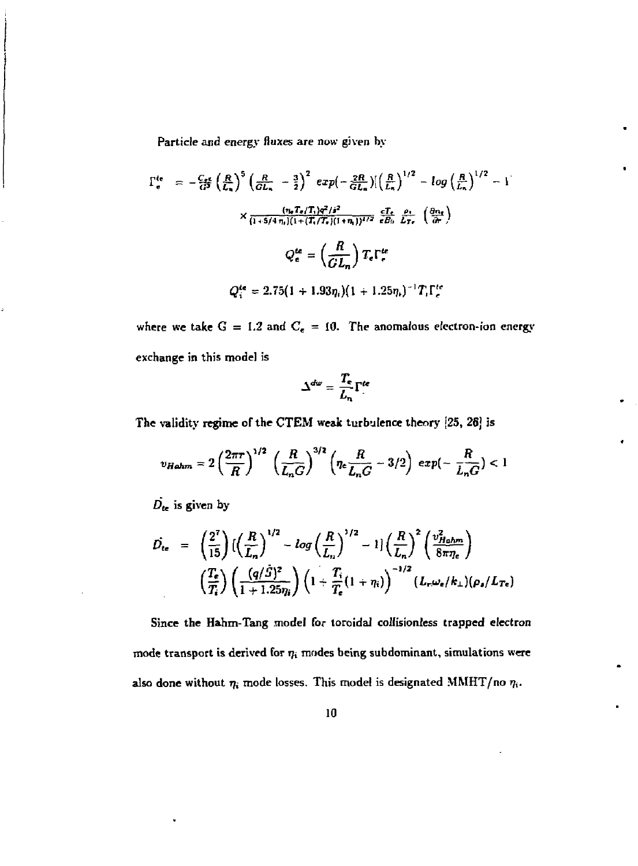**Particle and energy fluxes are now given by** 

$$
\Gamma_{e}^{te} = -\frac{C_{r}e}{G^{2}} \left(\frac{R}{L_{n}}\right)^{5} \left(\frac{R}{GL_{n}} - \frac{3}{2}\right)^{2} exp\left(-\frac{2R}{GL_{n}}\right) \left(\frac{R}{L_{n}}\right)^{1/2} - log\left(\frac{R}{L_{n}}\right)^{1/2} - 1
$$
\n
$$
\times \frac{(n_{e}T_{e}/T_{i})q^{2}/s^{2}}{(1+5/4 n_{i})(1+(T_{i}/T_{i})(1+n_{i}))^{1/2}} \frac{cT_{e}}{eB_{0}} \frac{\rho_{1}}{L_{Tr}} \left(\frac{\partial n_{e}}{\partial r}\right)
$$
\n
$$
Q_{e}^{te} = \left(\frac{R}{GL_{n}}\right) T_{e} \Gamma_{e}^{te}
$$
\n
$$
Q_{i}^{te} = 2.75(1+1.93\eta_{i})(1+1.25\eta_{i})^{-1} T_{i} \Gamma_{e}^{te}
$$

**where we take** *G* **= 1.2 and C<sup>e</sup> = 10. The anomalous electron-ion energy exchange in this mode] is** 

$$
\Delta^{dw} = \frac{T_e}{L_n} \Gamma^{\text{te}}
$$

The validity regime of the CTEM weak turbulence theory [25, 26] is

$$
v_{Halm} = 2\left(\frac{2\pi r}{R}\right)^{1/2} \left(\frac{R}{L_nG}\right)^{3/2} \left(\eta_e \frac{R}{L_nG} - 3/2\right) \, exp\left(-\frac{R}{L_nG}\right) < 1
$$

 $D_{te}$  is given by

$$
\hat{D}_{te} = \left(\frac{2^7}{15}\right) \left(\left(\frac{R}{L_n}\right)^{1/2} - \log\left(\frac{R}{L_n}\right)^{1/2} - 1\right) \left(\frac{R}{L_n}\right)^2 \left(\frac{v_{H_0hm}^2}{8\pi\eta_e}\right)
$$
\n
$$
\left(\frac{T_e}{T_i}\right) \left(\frac{(q/\hat{S})^2}{1+1.25\eta_i}\right) \left(1+\frac{T_i}{T_e}(1+\eta_i)\right)^{-1/2} (L_r\omega_e/k_\perp)(\rho_s/L_{Te})
$$

**Since the Hahm-Tang model for toroidal collisionless trapped electron**  mode transport is derived for  $\eta_i$  modes being subdominant, simulations were also done without  $\eta_i$  mode losses. This model is designated MMHT/no  $\eta_i$ .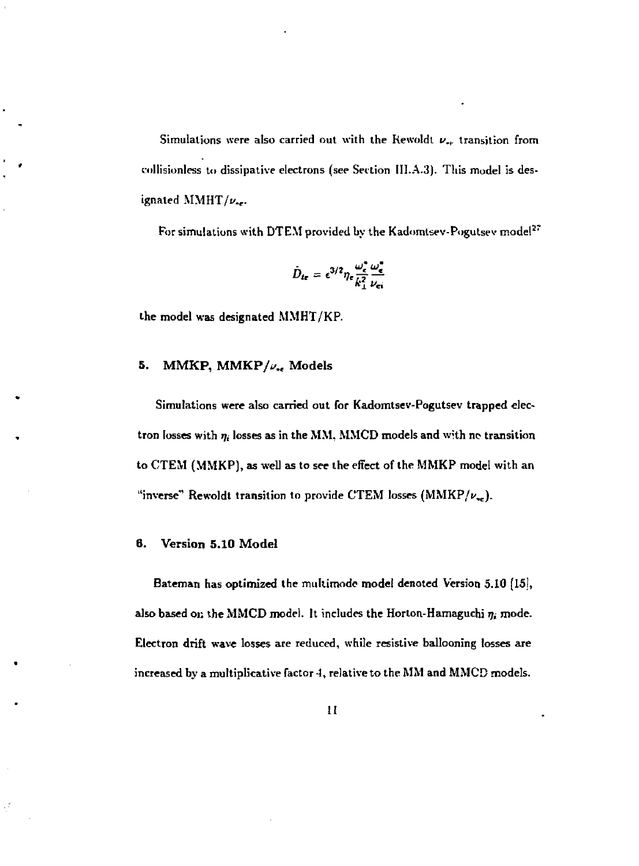Simulations were also carried out with the Rewoldt *v.,.* transition from collisionless to dissipative electrons (see Section III.A.3). This model is designated  $\text{MMHT}/\nu$ ...

For simulations with DTEM provided by the Kadomtsev-Pogutsev model<sup>27</sup>

$$
\hat{D}_{te} = \epsilon^{3/2} \eta_e \frac{\omega_e^2}{k_\perp^2} \frac{\omega_e^4}{\nu_{ei}}
$$

the model was designated MMHT/KP.

#### 5. MMKP, MMKP/ $\nu_{\rm re}$  Models

Simulations were also carried out for Kadomtsev-Pogutsev trapped electron losses with  $\eta_i$  losses as in the MM, MMCD models and with no transition to CTEM (MMKP), as well as to see the effect of the MMKP model with an "inverse" Rewoldt transition to provide CTEM losses (MMKP/ $\nu_{\rm ee}$ ).

#### 6. Version 5.10 Model

Bateman has optimized the multimode model denoted Version 5.10 [15], also based on the MMCD model. It includes the Horton-Hamaguchi  $\eta_i$  mode. Electron drift wave losses are reduced, while resistive ballooning losses are increased by a multiplicative factor 4, relative to the MM and MMCD models.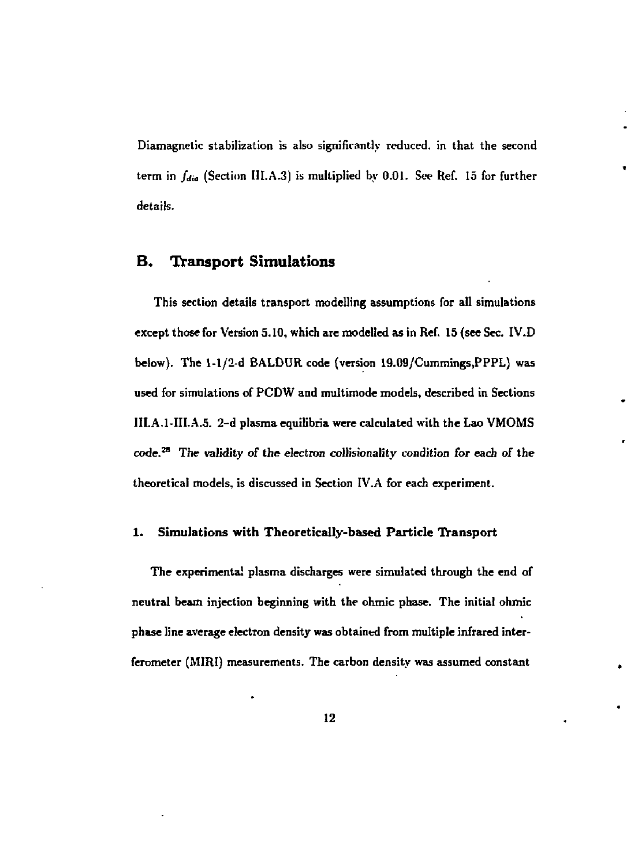**Diamagnetic stabilization is also significantly reduced, in that the second term in** *Jdia* **(Section III.A.3) is multiplied by 0.01. Sec Ref. 15 for further details.** 

#### **B. Transport Simulations**

**This section details transport modelling assumptions for all simulations except those for Version 5.10, which are modelled as in Ref. 15 (see Sec. IV.D below). The 1-1/2-d BALDUR code (version 19.09/Cummings,PPPL) was used for simulations of PCDW and multimode models, described in Sections III.A.1-III.A.5. 2-d plasma equilibria were calculated with the Lao VMOMS code. <sup>2</sup> <sup>8</sup> The validity of the electron collisionality condition for each** *ol* **the theoretical models, is discussed in Section IV.A for each experiment.** 

#### **1. Simulations with Theoretically-based Particle Transport**

**The experimental plasma discharges were simulated through the end of neutral beam injection beginning with the ohmic phase. The initial ohmic phase line average electron density was obtained from multiple infrared interferometer (MIRI) measurements. The carbon density was assumed constant**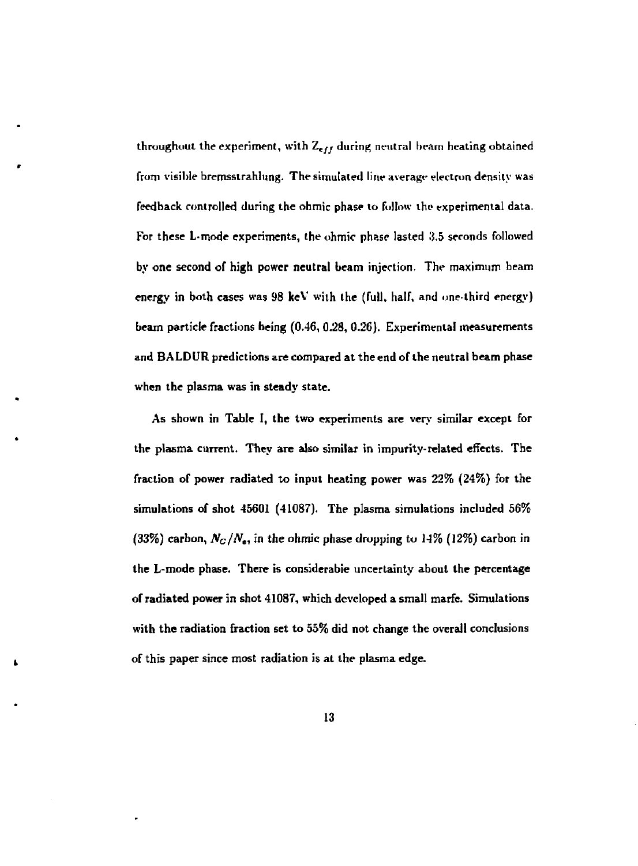**throughout the experiment, with** *Z<sup>f</sup> jj* **during neutral beam healing obtained from visible bremsslrahhing. The simulated line averagr electron density was feedback controlled during the ohmic phase to follow the experimental data.**  For these L-mode experiments, the ohmic phase lasted 3.5 seconds followed **by one second of high power neutral beam injection. The maximum beam energy in both cases was 98 keV with the (full, half, and one-third energy) beam particle fractions being (0.46, 0.28, 0.26). Experimental measurements and BALDUR predictions are compared at the end of the neutral beam phase**  when the plasma was in steady state.

**As shown in Table I, the two experiments are very similar except for the plasma current. They are also similar in impurity-related effects. The fraction of power radiated to input heating power was 22% (24%) for the simulations of shot 45601 (41087). The plasma simulations included 56%**  (33%) carbon,  $N_C/N_e$ , in the ohmic phase dropping to 14% (12%) carbon in **the L-mode phase. There is considerable uncertainty about the percentage of radiated power in shot 41087, which developed a small marfe. Simulations with the radiation fraction set to 55% did not change the overall conclusions of this paper since most radiation is at the plasma edge.**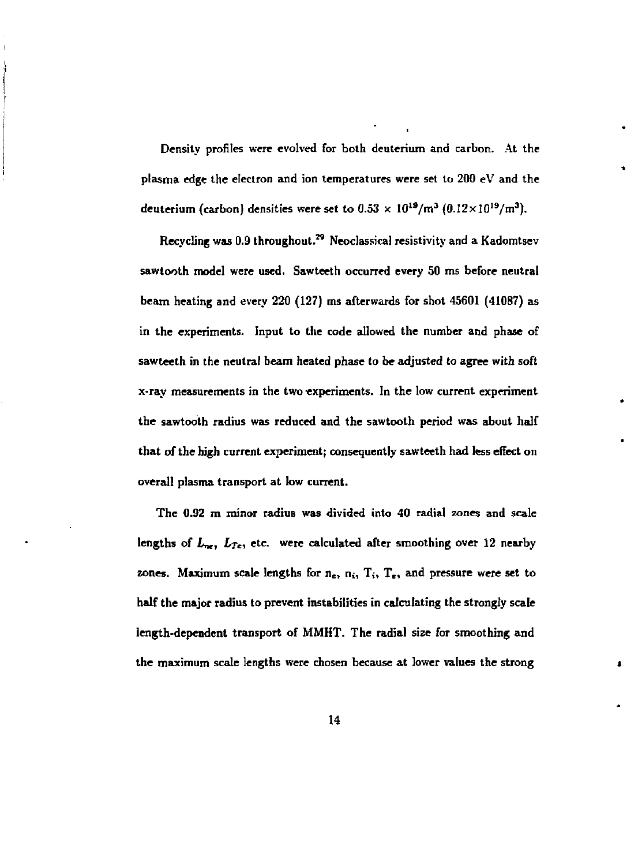**Density profiles were evolved for both deuterium and carbon. At the plasma edge the electron and ion temperatures were set to 200 eV and the**  deuterium (carbon) densities were set to  $0.53 \times 10^{19}$ /m<sup>3</sup> ( $0.12 \times 10^{19}$ /m<sup>3</sup>).

**Recycling was 0.9 throughout.\*<sup>9</sup> Neoclassical resistivity and a Kadomtsev sawtooth model were used. Sawteeth occurred every 50 ms before neutral beam heating and every 220 (127) ms afterwards for shot 45601 (41087) as in the experiments. Input to the code allowed the number and phase of sawteeth in the neutral beam heated phase to be adjusted to agree with soft x-ray measurements in the two experiments. In the low current experiment the sawtooth radius was reduced and the sawtooth period was about half that of the high current experiment; consequently sawteeth had less effect on overall plasma transport at low current.** 

**The 0.92 m minor radius was divided into 40 radial zones and scale**  lengths of  $L_{\text{ref}}$ ,  $L_{Te}$ , etc. were calculated after smoothing over 12 nearby **zones. Maximum scale lengths for n<sup>e</sup> , n;, T;, T<sup>B</sup> , and pressure were set to half the major radius to prevent instabilities in calculating the strongly scale length-dependent transport of MMHT. The radial size for smoothing and the maximum scale lengths were chosen because at lower values the strong**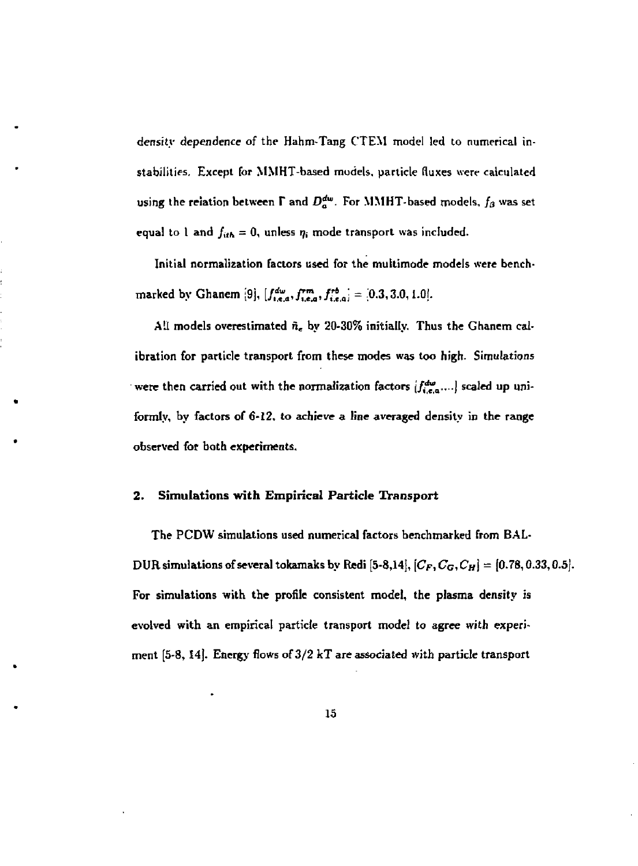density dependence of the Hahm-Tang CTEM model led to numerical instabilities. Except for MMHT-based models, particle fluxes were calculated using the relation between  $\Gamma$  and  $D_{a}^{dw}$ . For MMHT-based models,  $f_{\beta}$  was set equal to 1 and  $f_{ith} = 0$ , unless  $\eta_i$  mode transport was included.

Initial normalization factors used for the multimode models were benchmarked by Ghanem [9],  $[f_{i,e,a}^{dw}, f_{i,e,a}^{rm}, f_{i,e,a}^{rb}] = [0.3,3.0,1.0].$ 

All models overestimated  $\tilde{n}_e$  by 20-30% initially. Thus the Ghanem calibration for particle transport from these modes was too high. Simulations were then carried out with the normalization factors  $[f_{i,e,\alpha}^{dw},\ldots]$  scaled up uniformly, by factors of 6-12, to achieve a line averaged density in the range observed for both experiments.

#### **2. Simulations with Empirical Particle Transport**

The PCDW simulations used numerical factors benchmarked from BAL-DUR simulations of several tokamaks by Redi  $[5-8,14]$ ,  $[C_F, C_G, C_H] = [0.78, 0.33, 0.5]$ . For simulations with the profile consistent model, the plasma density is evolved with an empirical particle transport model to agree with experiment **[5-8,** 14). Energy flows of 3/2 kT are associated with particle transport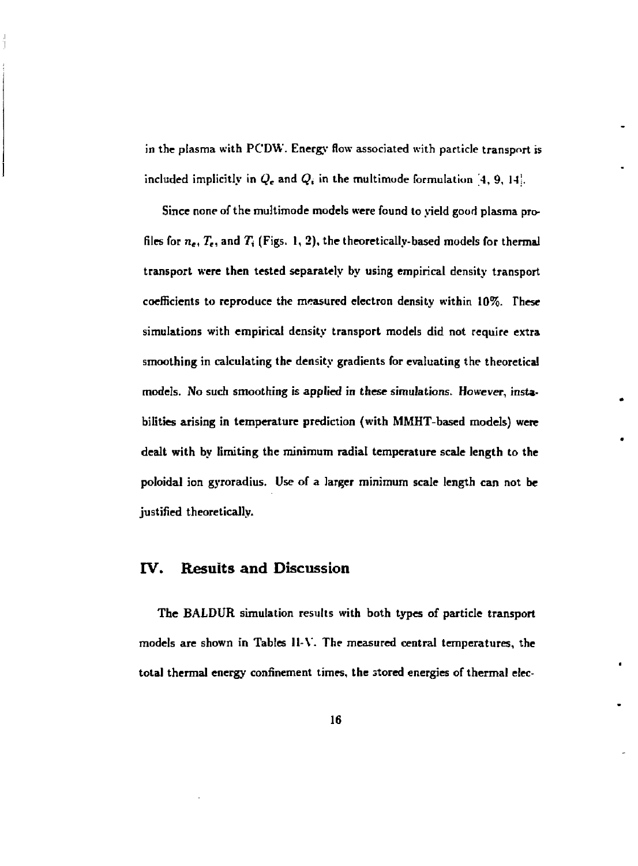**in the plasma with PCDW. Energy flow associated with particle transport is**  included implicitly in  $Q_e$  and  $Q_i$  in the multimode formulation  $[4, 9, 14]$ .

**Since none of the multimode models were found to yield good plasma profiles for** *n<sup>e</sup> , T<sup>e</sup> ,* **and 7j (Figs. 1, 2), the theoretically-based models for thermal transport were then tested separately by using empirical density transport coefficients to reproduce the measured electron density within 10%. These simulations with empirical density transport models did not require extra smoothing in calculating the density gradients for evaluating the theoretical models. No such smoothing is applied in these simulations. However, instabilities arising in temperature prediction (with MMHT-based models) were dealt with by limiting the minimum radial temperature scale length to the poloidal ion gyroradius. Use of a larger minimum scale length can not be justified theoretically.** 

#### **IV. Results and Discussion**

**The BALDUR simulation results with both types of particle transport models are shown in Tables II-V. The measured central temperatures, the total thermal energy confinement times, the stored energies of thermal elec-**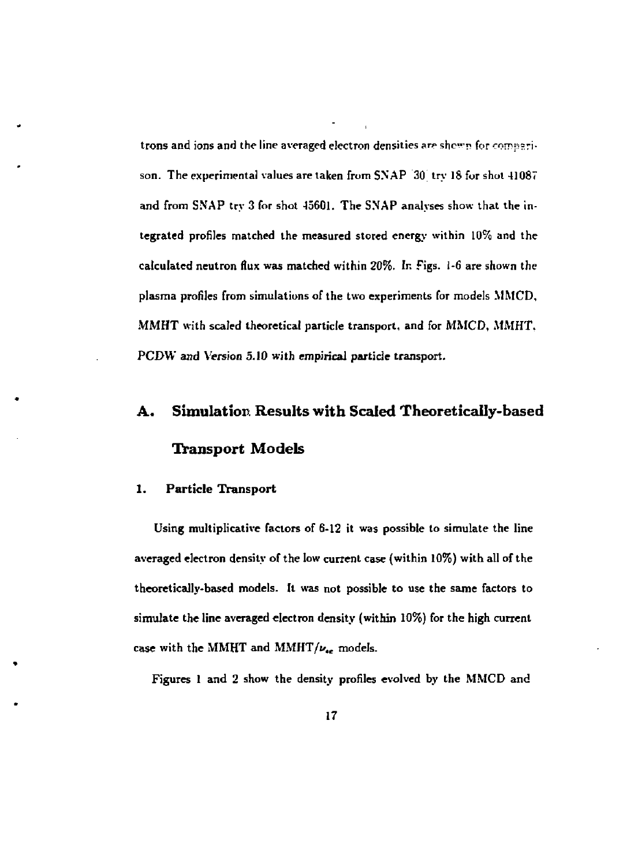trons and ions and the line averaged electron densities are shown for comparison. The experimental values are taken from SNAP  $30$  try 18 for shot  $41087$ and from SNAP try 3 for shot 45601. The SNAP analyses show that the integrated profiles matched the measured stored energy within 10% and the calculated neutron flux was matched within 20%. In Figs, i-6 are shown the plasma profiles from simulations of the two experiments for models MMC'D, MMHT with scaled theoretical particle transport, and for MMCD, MMHT. PCDW and Version 5.10 with empirical particle transport.

# **A. Simulation Results with Scaled Theoretically-based Transport Models**

#### **1. Particle Transport**

Using multiplicative factors of 6-12 it was possible to simulate the line averaged electron density of the low current case (within 10%) with all of the theoretically-based models. It was not possible to use the same factors to simulate the **line** averaged electron density (within 10%) for the high current case with the MMHT and MMHT/ $\nu_{ee}$  models.

Figures 1 and 2 show the density profiles evolved by the MMCD and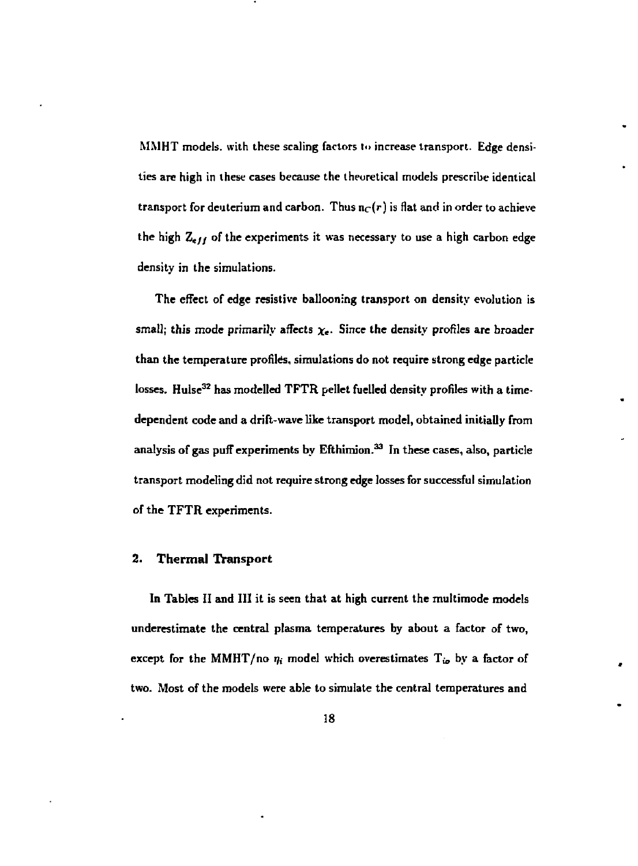MMHT models, with these scaling factors to increase transport. Edge densities are high in these cases because the theoretical models prescribe identical transport for deuterium and carbon. Thus  $n<sub>C</sub>(r)$  is flat and in order to achieve the high *Z<sup>t</sup> jf* of the experiments it was necessary to use a high carbon edge density in the simulations.

The effect of edge resistive ballooning transport on density evolution is small; this mode primarily affects  $\chi_e$ . Since the density profiles are broader than the temperature profiles, simulations do not require strong edge particle losses. Hulse<sup>32</sup> has modelled TFTR pellet fuelled density profiles with a timedependent code and a drift-wave like transport model, obtained initially from analysis of gas puff experiments by Efthimion.<sup>33</sup> In these cases, also, particle transport modeling did not require strong edge losses for successful simulation of the TFTR experiments.

#### **2. Thermal Transport**

**In** Tables II and **III** it is seen that at high current the multimode models underestimate the central plasma temperatures by about a factor of two, except for the MMHT/no  $\eta_i$  model which overestimates T<sub>io</sub> by a factor of two. Most of the models were able to simulate the central temperatures and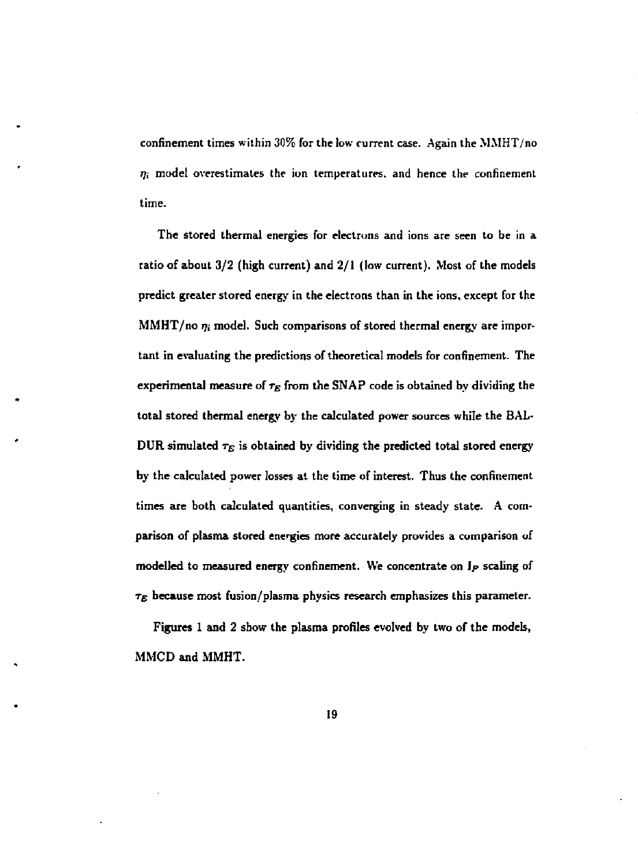**confinement times within 30% for the low current case. Again the MMHT/no**  *T)i* **model overestimates the ion temperatures, and hence the confinement time.** 

**The stored thermal energies for electrons and ions are seen to be in a ratio of about 3/2 (high current) and 2/1 (low current). Most of the models predict greater stored energy in the electrons than in the ions, except for the MMHT/no** *rji* **model. Such comparisons of stored thermal energy are important in evaluating the predictions of theoretical models for confinement. The**  experimental measure of  $\tau_E$  from the SNAP code is obtained by dividing the **total stored thermal energy by the calculated power sources while the BAL-** $DUR$  simulated  $\tau_E$  is obtained by dividing the predicted total stored energy **by the calculated power losses at the time of interest. Thus the confinement times are both calculated quantities, converging in steady state. A comparison of plasma stored energies more accurately provides a comparison of modelled to measured energy confinement. We concentrate on** *lp* **scaling of**  *TE*  **because most fusion/plasma physics research emphasizes this parameter.** 

**Figures 1 and 2 show the plasma profiles evolved by two of the models, MMCD and MMHT.**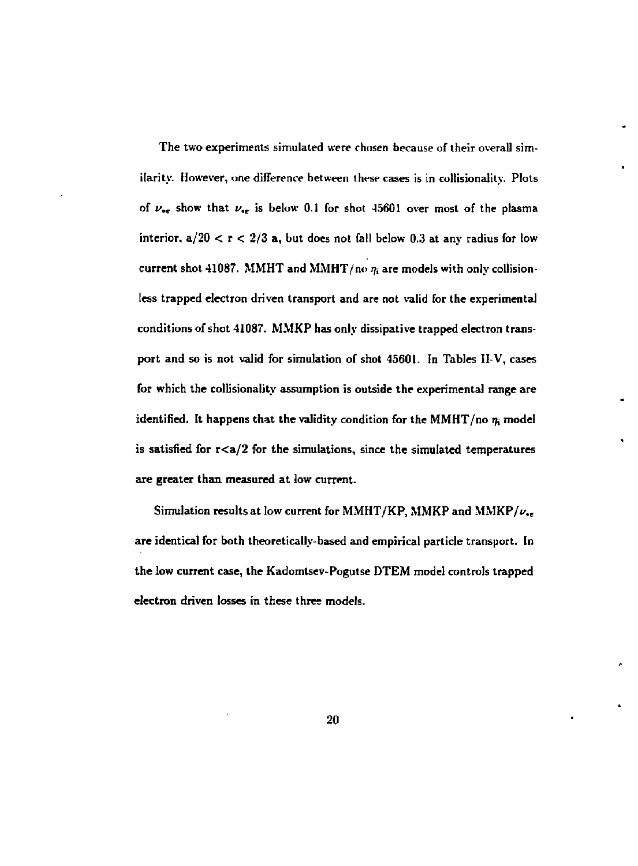**The two experiments simulated were chosen because of their overall similarity. However, one difference between these cases is in coltisionality. Plots**  of  $\nu_{\rm ee}$  show that  $\nu_{\rm ee}$  is below 0.1 for shot 45601 over most of the plasma interior,  $a/20 < r < 2/3$  a, but does not fall below 0.3 at any radius for low current shot 41087. MMHT and MMHT/no  $\eta_i$  are models with only collision**less trapped electron driven transport and are not valid for the experimental conditions of shot 41087. MMKP has only dissipative trapped electron transport and so is not valid for simulation of shot 45601. In Tables II-V, cases for which the collisionality assumption is outside the experimental range are**  identified. It happens that the validity condition for the MMHT/no  $\eta_i$  model is satisfied for  $r < a/2$  for the simulations, since the simulated temperatures **are greater than measured at low current.** 

Simulation results at low current for MMHT/KP, MMKP and MMKP/ $\nu_{\bullet}$ . **are identical for both theoretically-based and empirical particle transport. In the low current case, the Kadomtsev-Pogutse DTEM model controls trapped electron driven losses in these three models.**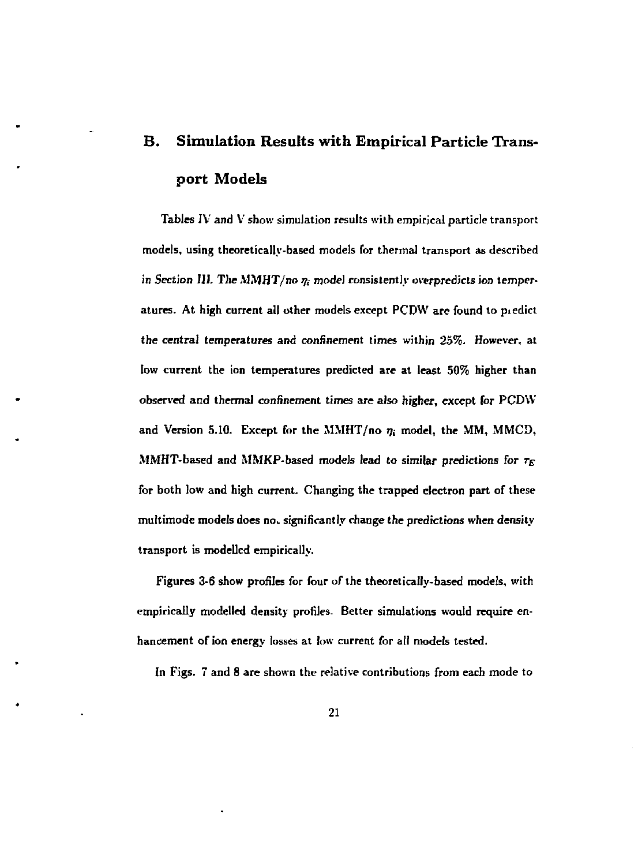# **B. Simulation Results with Empirical Particle Transport Models**

**Tables IV and V show simulation results with empirical particle transport models, using theoretically-based models for thermal transport as described**  in Section III. The MMHT/no  $\eta_i$  model consistently overpredicts ion temper**atures. At high current all other models except PCDW are found to piedict the central temperatures and confinement times within 25%. However, at low current the ion temperatures predicted are at least 50% higher than observed and thermal confinement times are also higher, except for PCDW**  and Version 5.10. Except for the MMHT/no  $\eta_i$  model, the MM, MMCD, **MMHT-based and MMKP-based models lead to similar predictions for** *r<sup>E</sup>* **for both low and high current. Changing the trapped electron part of these multimode models does no. significantly change the predictions when density transport is modelled empirically.** 

**Figures 3-6 show profiles for four of the theoretically-based models, with empirically modelled density profiles. Better simulations would require enhancement of ion energy josses at low current for all models tested.** 

**In Figs. 7 and 8 are shown the relative contributions from each mode to**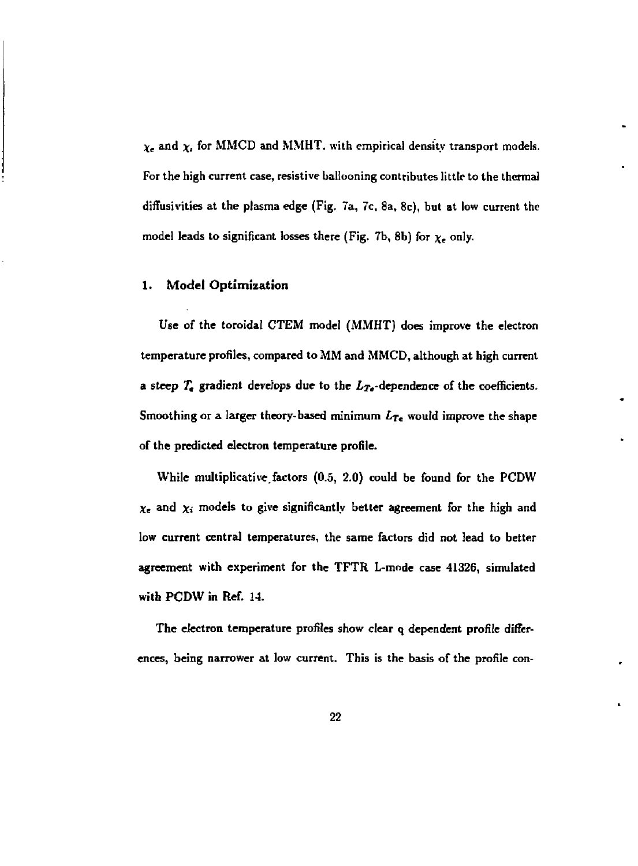$\chi_e$  and  $\chi_i$  for MMCD and MMHT, with empirical density transport models. For the high current case, resistive ballooning contributes little to the thermal diffusivities at the plasma edge (Fig, 7a, 7c, 8a, 8c), but at low current the model leads to significant losses there (Fig. 7b, 8b) for  $\chi_e$  only.

#### **1. Model Optimization**

Use of the toroidal CTEM model (MMHT) does improve the electron temperature profiles, compared to MM and MMCD, although at high current a steep  $T_e$  gradient develops due to the  $L_{Te}$ -dependence of the coefficients. Smoothing or a larger theory-based minimum *Lr<sup>t</sup>* would improve the shape of the predicted electron temperature profile.

While multiplicative, factors (0.5, 2.0) could be found for the PCDW  $\chi_e$  and  $\chi_i$  models to give significantly better agreement for the high and low current central temperatures, the same factors did not lead to better agreement with experiment for the TFTR L-mode case 41326, simulated with PCDW in Ref. 14.

The electron temperature profiles show clear q dependent profile differences, being narrower at low current. This is the basis of the profile con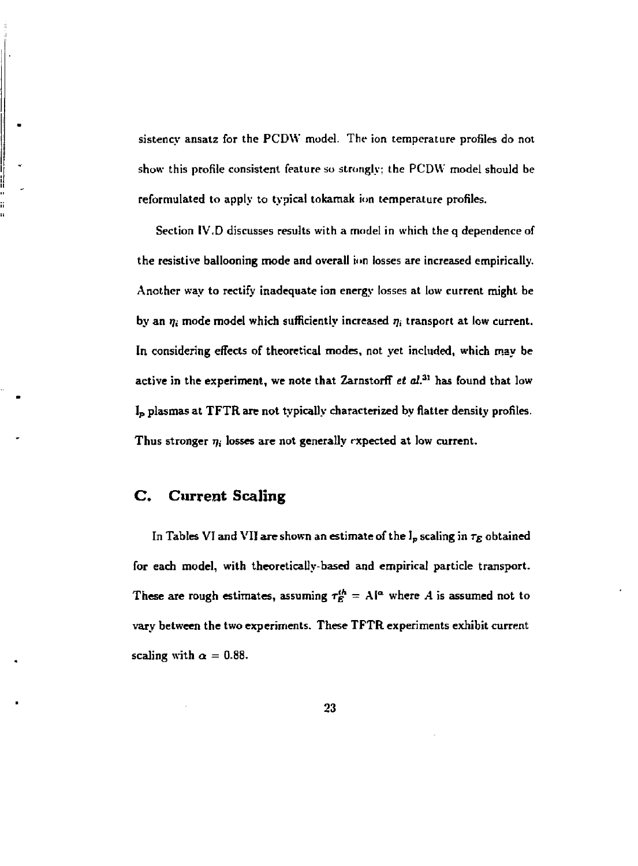**sistency ansatz for the PCDW model. The ion temperature profiles do not show this profile consistent feature so strongly; the PCDW model should be reformulated to apply to typical tokamak ion temperature profiles.** 

**Section IV.D discusses results with a model in which the q dependence of the resistive ballooning mode and overall ion losses are increased empirically. Another way to rectify inadequate ion energy losses at low current might be**  by an  $\eta_i$  mode model which sufficiently increased  $\eta_i$  transport at low current. **In considering effects of theoretical modes, not yet included, which may be**  active in the experiment, we note that Zarnstorff *et al.*<sup>31</sup> has found that low **I p plasmas at TFTR are not typically characterized by Hatter density profiles.**  Thus stronger  $\eta_i$  losses are not generally expected at low current.

#### **C. Current Scaling**

In Tables VI and VII are shown an estimate of the  $I_p$  scaling in  $\tau_E$  obtained **for each model, with theoretically-based and empirical particle transport.**  These are rough estimates, assuming  $\tau_E^{th} = A^{|\alpha|}$  where A is assumed not to **vary between the two experiments. These TFTR experiments exhibit current scaling** with  $\alpha = 0.88$ .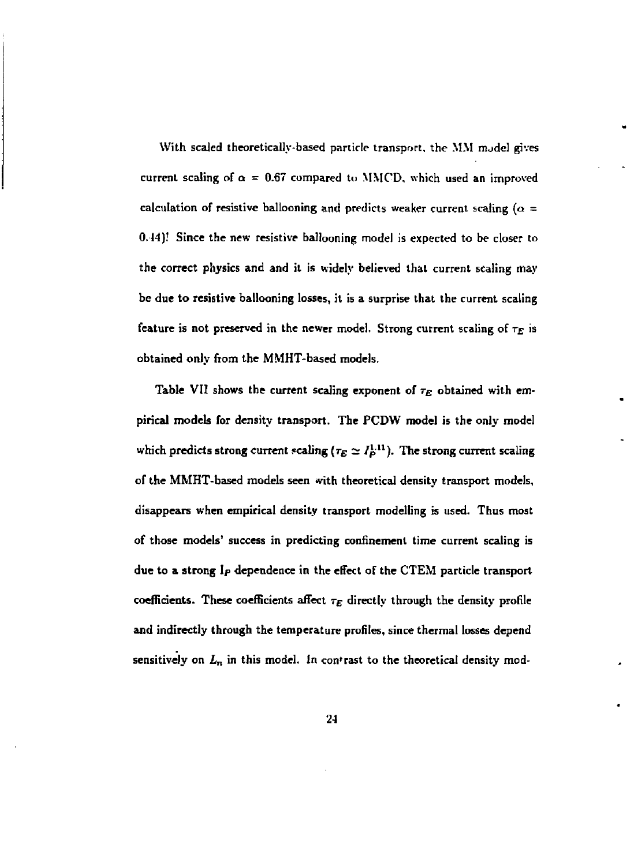**With scaled theoretically-based particle transport, the MM nude] gives**  current scaling of  $\alpha = 0.67$  compared to MMCD, which used an improved calculation of resistive ballooning and predicts weaker current scaling ( $\alpha$  = **0.14)! Since the new resistive ballooning model is expected to be closer to the correct physics and and it is widely believed that current scaling may be due to resistive ballooning losses, it is a surprise that the current scaling feature is not preserved in the newer model. Strong current scaling of** *r<sup>E</sup>*  **is obtained only from the MMHT-based models.** 

**Table VII shows the current scaling exponent of** *T<sup>E</sup>*  **obtained with empirical models for density transport. The PCDW model is the only model**  which predicts strong current scaling  $(\tau_E \simeq I_P^{1.11})$ . The strong current scaling **of the MMHT-based models seen with theoretical density transport models, disappears when empirical density transport modelling is used. Thus most of those models' success in predicting confinement time current scaling is due to a strong Ip dependence in the effect of the CTEM particle transport**  coefficients. These coefficients affect  $\tau_E$  directly through the density profile **and indirectly through the temperature profiles, since thermal losses depend sensitively on** *L<sup>n</sup>*  **in this model. In contrast to the theoretical density mod-**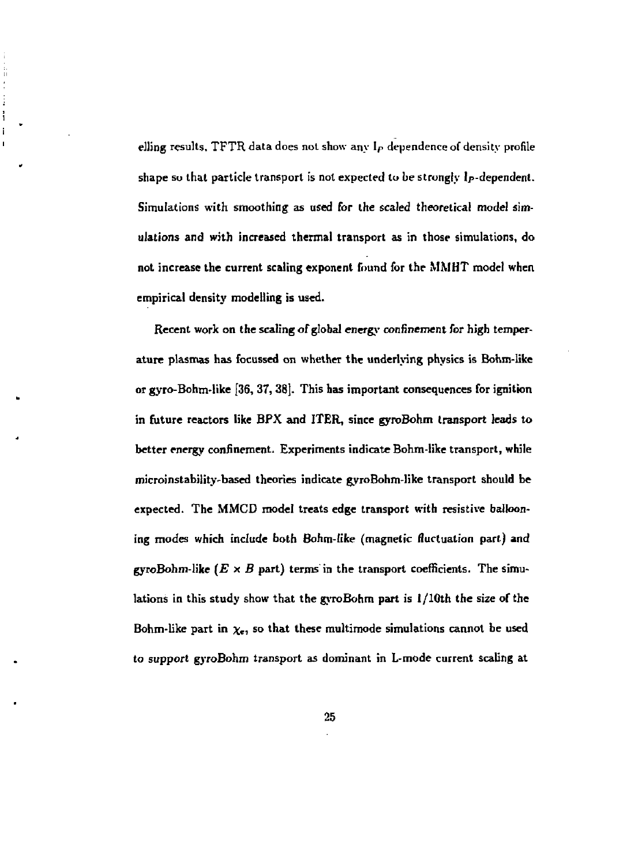**elling results, TFTR data does not show any Ip dependence of density profile shape so that particle transport is not expected to be strongly Ip-dependent. Simulations with smoothing as used for the scaled theoretical model simulations and with increased thermal transport as in those simulations, do not increase the current scaling exponent found for the MMHT model when empirical density modelling is used.** 

 $\frac{1}{2}$ j. ţ ï

> **Recent work on the scaling of global energy confinement for high temperature plasmas has focussed on whether the underlying physics is Bohm-likc or gyro-Bohm-like [36, 37, 38]. This has important consequences for ignition in future reactors like BFX and ITER, since gyroBohm transport leads to better energy confinement. Experiments indicate Bohm-like transport, while microinstability-based theories indicate gyroBohm-like transport should be expected. The MMCD model treats edge transport with resistive ballooning modes which include both Bohm-like (magnetic fluctuation part.) and**  gyroBohm-like  $(E \times B)$  part) terms in the transport coefficients. The simu**lations in this study show that the gyroBohm part is I/10th the size of the**  Bohm-like part in  $\chi$ , so that these multimode simulations cannot be used **to support gyroBohm transport as dominant in L-mode current scaling at**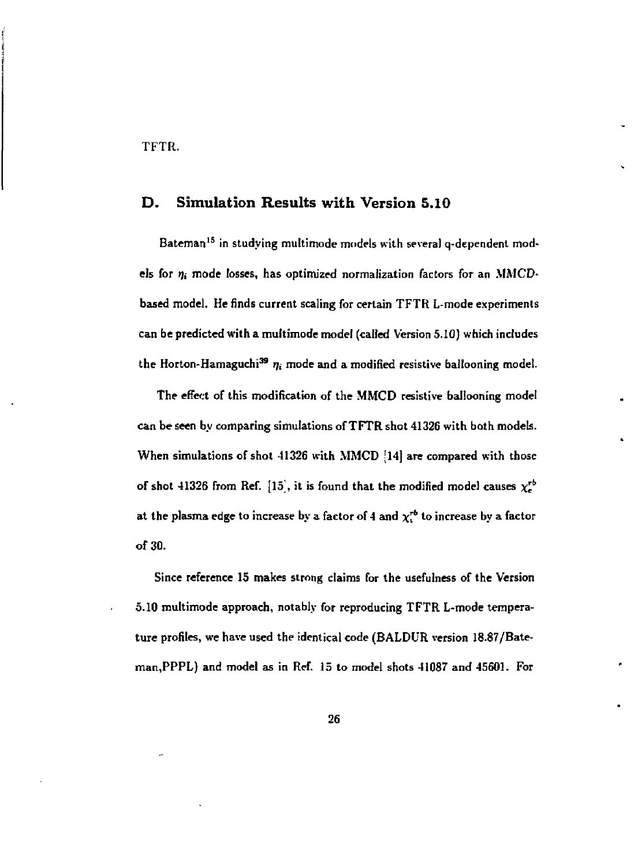**TFTR.** 

#### **D. Simulation Results with Version 5.10**

**Bateman<sup>1</sup> <sup>5</sup> in studying multimode models with several q-dependent mod**els for  $\eta_i$  mode losses, has optimized normalization factors for an MMCD**based model. He finds current scaling for certain TFTR L-mode experiments can be predicted with a multimode model (called Version 5.10) which includes**  the Horton-Hamaguchi<sup>39</sup>  $\eta_i$  mode and a modified resistive ballooning model.  $\eta_i$ 

**The effect of this modification of the MMCD resistive ballooning model can be seen by comparing simulations of TFTR shot 41326 with both models. When simulations of shot 41326 with MMCD [14] are compared with those**  of shot 41326 from Ref.  $[15]$ , it is found that the modified model causes  $\chi_e^{rb}$ at the plasma edge to increase by a factor of 4 and  $\chi^{\tau_{b}}$  to increase by a factor **of 30.** 

**Since reference 15 makes strong claims for the usefulness of the Version 5.10 multimode approach, notably for reproducing TFTR L-mode temperature profiles, we have used the identical code (BALDUR version 18.87/Bateman,PPPL) and model as in Ref. 15 to model shots 41087 and 45601. For**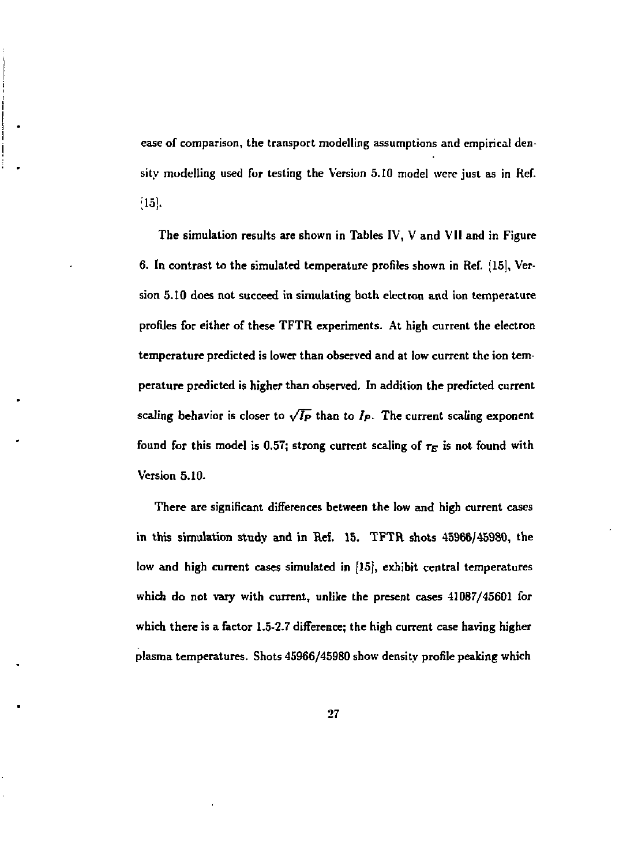**ease of comparison, the transport modelling assumptions and empirical density modelling used for testing the Version 5.10 model were just as in Ref. ;i5j.** 

**The simulation results are shown in Tables IV, V and VII and in Figure 6. In contrast to the simulated temperature profiles shown in Ref. (15], Version 5.10 does not succeed in simulating both electron and ion temperature profiles for either of these TFTR experiments. At high current the electron temperature predicted is lower than observed and at low current the ion temperature predicted is higher than observed. In addition the predicted current**  scaling behavior is closer to  $\sqrt{I_P}$  than to  $I_P$ . The current scaling exponent **found for this model is 0.57; strong current scaling of** *T<sup>E</sup>*  **is not found with Version 5.10.** 

**There are significant differences between the low and high current cases in this simulation study and in Ref. 15. TFTR shots 45966/45980, the low and high current cases simulated in [15], exhibit central temperatures which do not vary with current, unlike the present cases 41087/45601 for which there is a factor 1.5-2.7 difference; the high current case having higher plasma temperatures. Shots 45966/45980 show density profile peaking which**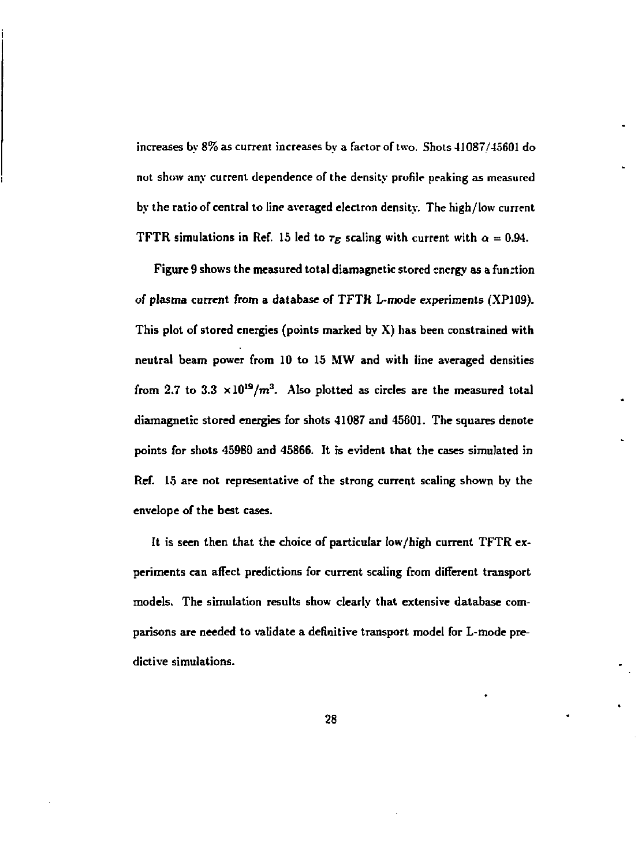**increases by** *8%* **as current increases by a factor of two. Shots 41087/45601 do nut show any current dependence of the density profile peaking as measured by the ratio of central to line averaged electron density. The high/low current TFTR simulations in Ref. 15 led to**  $\tau_E$  **scaling with current with**  $\alpha = 0.94$ **.** 

**Figure 9 shows the measured total diamagnetic stored energy as a fun:tion**  *of* **plasma current from a database of TFTK L-mode experiments (XP109). This plot of stored energies (points marked by X) has been constrained with neutral beam power from 10 to 15 MW and with line averaged densities**  from 2.7 to 3.3  $\times$ 10<sup>19</sup>/m<sup>3</sup>. Also plotted as circles are the measured total **diamagnetic stored energies for shots 41087 and 45601. The squares denote points for shots 45980 and 45866. It is evident that the cases simulated in Ref. 15 are not representative of the strong current scaling shown by the envelope of the best cases.** 

**It is seen then that the choice of particular low/high current TFTR experiments can affect predictions for current scaling from different transport models. The simulation results show clearly that extensive database comparisons are needed to validate a definitive transport model for L-mode predictive simulations.**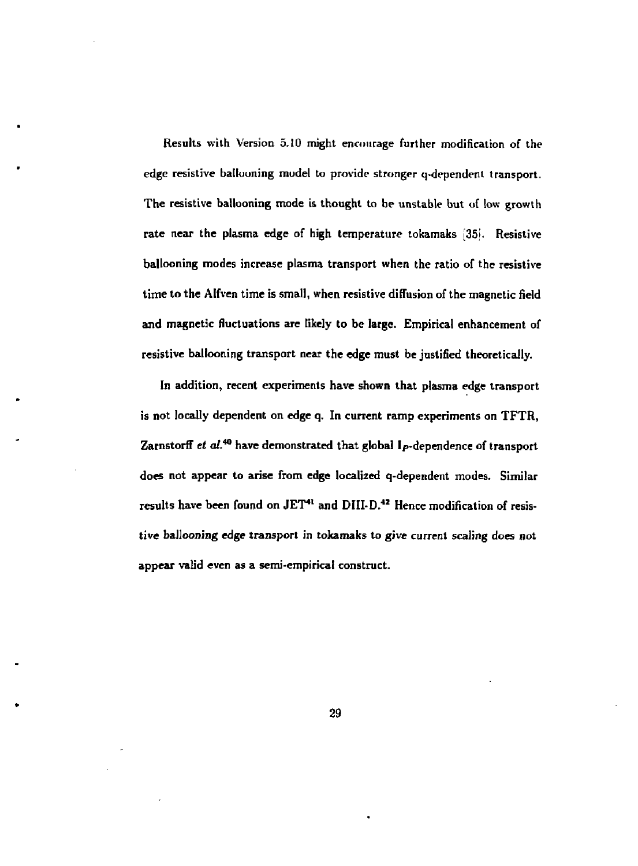**Results with Version 5.10 might encourage further modification of the edge resistive ballooning model to provide stronger q-dependent transport. The resistive ballooning mode is thought to be unstable but of low growth rate near the plasma edge of high temperature tokamaks [351. Resistive ballooning modes increase plasma transport when the ratio of the resistive time to the Alfven time is small, when resistive diffusion of the magnetic field and magnetic fluctuations are likely to be large. Empirical enhancement of resistive ballooning transport near the edge must be justified theoretically.** 

**In addition, recent experiments have shown that plasma edge transport is not locally dependent on edge q. In current ramp experiments on TFTR,**  Zarnstorff *et al.*<sup>40</sup> have demonstrated that global I<sub>P</sub>-dependence of transport **does not appear to arise from edge localized q-dependent modes. Similar results have been found on JET<sup>4</sup> <sup>1</sup> and DIII-D. <sup>4</sup> <sup>2</sup> Hence modification of resistive ballooning edge transport in tokamaks to give current scaling does not appear valid even as a semi-empirical construct.**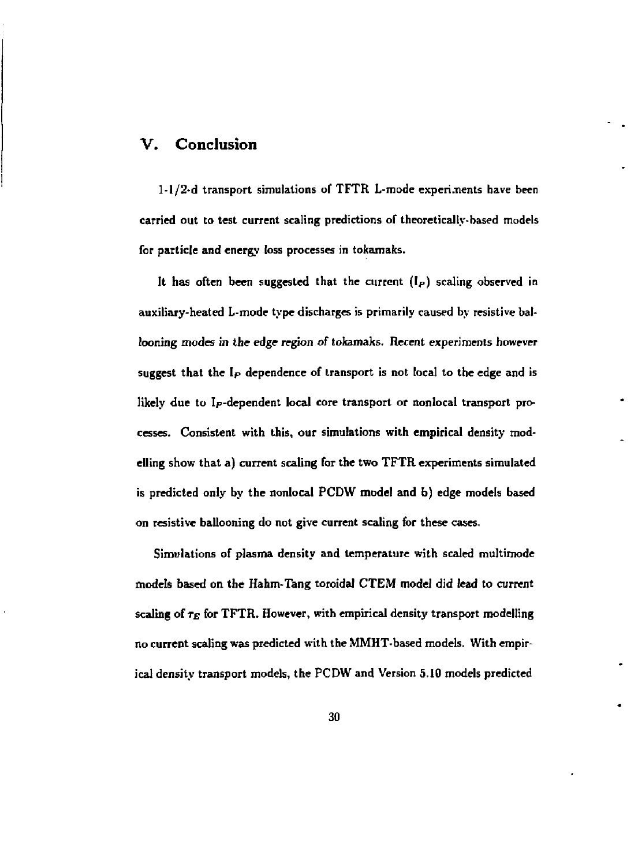### **V. Conclusion**

**l-l/2-d transport simulations of TFTR L-mode experi.nents have been carried out to test current scaling predictions of theoretically-based models for particle and energy loss processes in tokamaks.** 

**It has often been suggested that the current (Ip) scaling observed in auxiliary-heated L-mode type discharges is primarily caused by resistive ballooning modes in the edge region of tokamaks. Recent experiments however suggest that the Ip dependence of transport is not local to the edge and is likely due to Ip-dependent local core transport or nonlocal transport processes. Consistent with this, our simulations with empirical density modelling show that a) current scaling for the two TFTR experiments simulated is predicted only by the nonlocal PCDW model and b) edge models based on resistive ballooning do not give current scaling for these cases.** 

**Simulations of plasma density and temperature with scaled multimode models based on the Hahm-Tang toroidal CTEM model did lead to current**  scaling of  $\tau_E$  for TFTR. However, with empirical density transport modelling **no current scaling was predicted with the MMHT-based models. With empirical density transport models, the PCDW and Version 5.10 models predicted**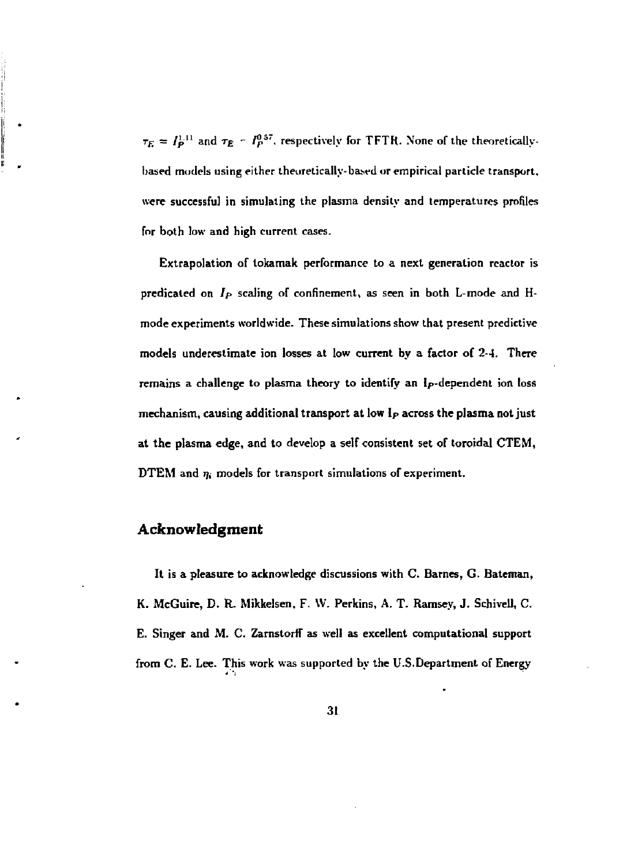$\tau_E = I_P^{1.11}$  and  $\tau_E - I_P^{0.57}$ , respectively for TFTR. None of the theoreticallybased models using either theoretically-based or empirical particle transport, **were successful in simulating the plasma density and temperatures profiles for both low and high current cases.** 

**Extrapolation of tokamak performance to a next generation reactor is predicated on** *Ip* **scaling of confinement, as seen in both L-mode and Hmode experiments worldwide. These simulations show that present predictive models underestimate ion losses at low current by a factor of 2-4. There remains a challenge to plasma theory to identify an lp-dependent ion loss mechanism, causing additional transport at low Ip across the plasma not just at the plasma edge, and to develop a self consistent set of toroidal CTEM, DTEM** and  $\eta_i$  models for transport simulations of experiment.

#### **Acknowledgment**

**It is a pleasure to acknowledge discussions with C. Barnes, G. Bateman, K. McGuire, D. R. Mikkelsen, F. \V. Perkins, A. T. Ramsey, J. Schivell, C.**  E. Singer and M. C. Zarnstorff as well as excellent computational support **from C. E. Lee. This work was supported by the U.S.Department of Energy**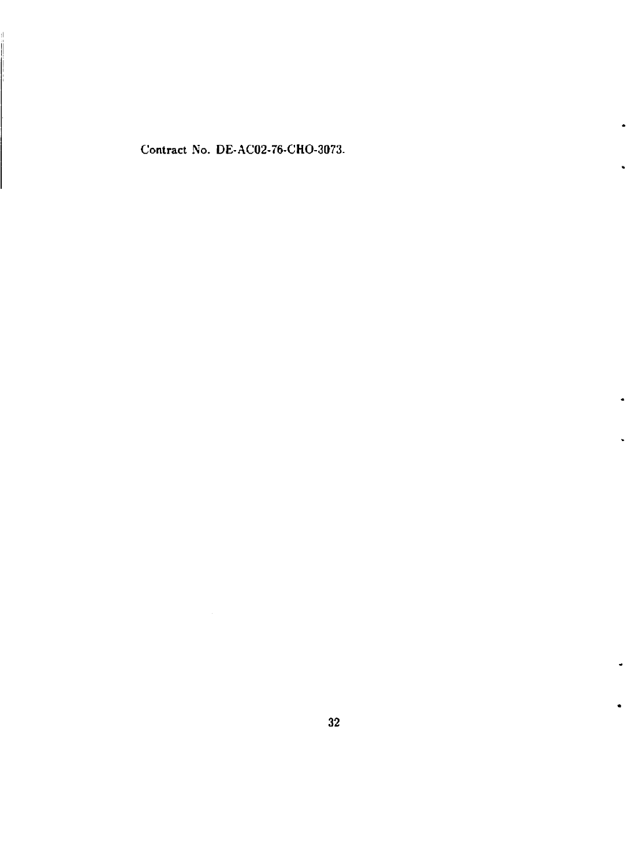Contract No. DE-AC02-76-CHO-3073.

 $\bullet$ 

u.

 $\bullet$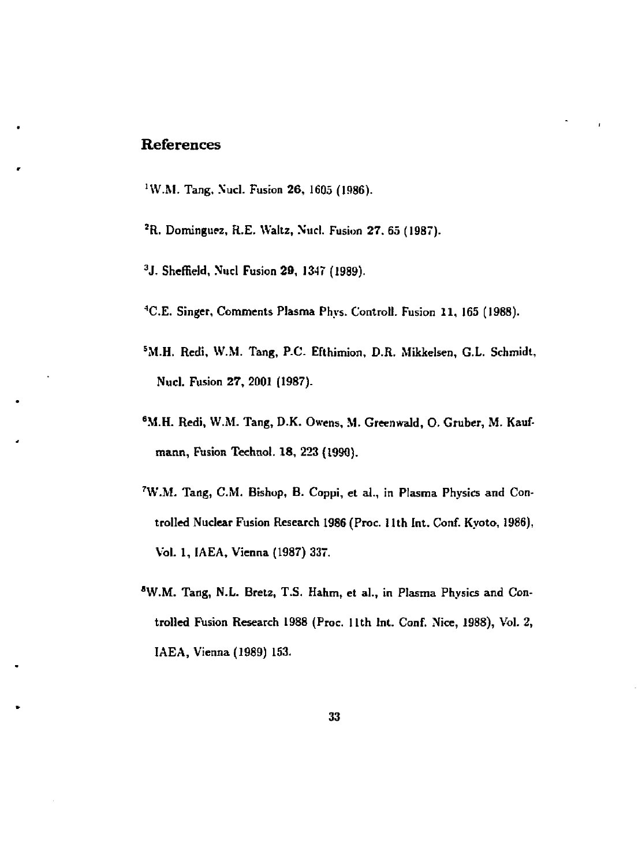# References

- <sup>1</sup>W.M. Tang, Nucl. Fusion **26**, 1605 (1986).
- *<sup>2</sup>R.* **Dominguez, R.E. Waltz, Nticl. Fusion 27. 65 (1987).**
- **3 J. Sheffield, Xucl Fusion 29, 1347 (1989).**
- **<sup>4</sup>C.E. Singer, Comments Plasma Phys. Controll. Fusion 11, 165 (1988).**
- **<sup>5</sup>M.H. Redi, W.M. Tang, P-C. Efthimion, D.R. Mikkelsen, G.L. Schmidt, Nucl. Fusion 27, 2001 (1987).**
- **6M.H. Redi, W.M. Tang, D.K. Owens, M. Greenwald, O. Gruber, M. Kaufmatin, Fusion Technol. 18, 223 (1990).**
- **7W.M. Tang, CM. Bishop, B. Coppi, et al., in Plasma Physics and Controlled Nuclear Fusion Research 1986 (Proc. 11th Int. Conf. Kyoto, 1986), Vol. 1, IAEA, Vienna (1987) 337.**
- **aW.M. Tang, N.L. Bret2, T.S. Hahm, et al., in Plasma Physics and Controlled Fusion Research 1988 (Proc. 11th Int. Conf. Nice, 1988), Vol. 2, IAEA, Vienna (1989) 153.**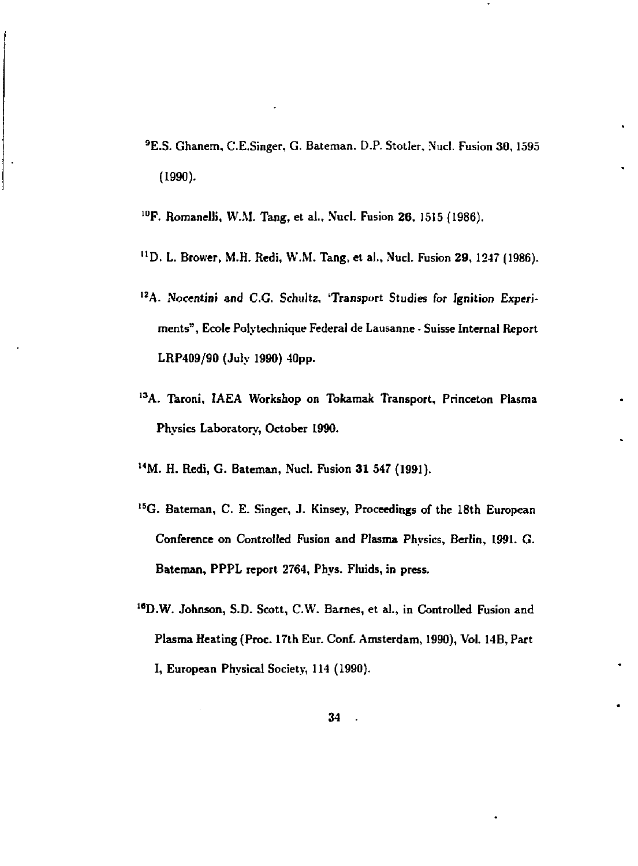- **<sup>9</sup>E.S. Ghanem, C.E.Singer, G. Bateman. D.P. Stotler, Nucl. Fusion 30, 1595 (1990).**
- **1 0F. Romanelli, W.M. Tang, et al., Nucl. Fusion 26, 1515 (1986).**
- **"D. L. Brower, M.H. Redi, W.M. Tang, et al., Nud. Fusion 29,1247 (1986).**
- <sup>12</sup>A. Nocentini and C.G. Schultz, 'Transport Studies for Ignition Experi**ments", Ecole Polytechnique Federal de Lausanne - Suisse Internal Report LRP409/90 (July 1990) 40pp.**
- <sup>13</sup>A. Taroni, IAEA Workshop on Tokamak Transport, Princeton Plasma **Physics Laboratory, October 1990.**
- **l 4M. H. Redi, G. Bateman, Nucl. Fusion 31 547 (1991).**
- <sup>15</sup>G. Bateman, C. E. Singer, J. Kinsey, Proceedings of the 18th European **Conference on Controlled Fusion and Plasma Physics, Berlin, 1991. G. Bateman, PPPL report 2764, Phys. Fluids, in press.**
- **1 8D.W. Johnson, S.D. Scott, C.W. Barnes, et al., in Controlled Fusion and Plasma Heating (Proc. 17th Eur. Conf. Amsterdam, 1990), Vol. 14B, Part I, European Physical Society, 114 (1990).**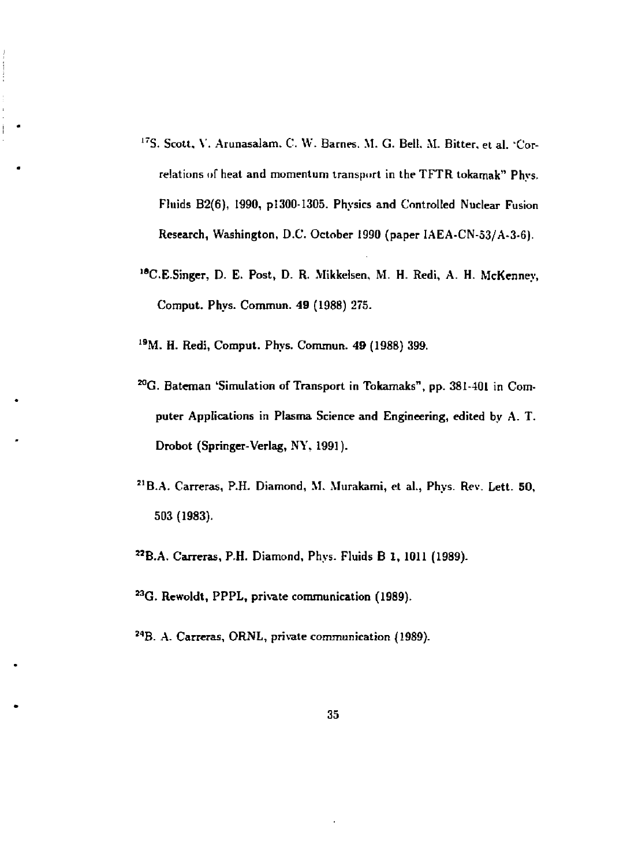- **1 7S. Scott, V. Arunasalam. C. W. Barnes. M. G. Belt. M. Bitter, et al. 'Correlations of heat and momentum transport in the TFTR tokamak" Phys. Fluids B2(6), 1990, p!300-1305. Physics and Controlled Nuclear Fusion Research, Washington, D.C. October 1990 (paper IAEA-CN-53/A-3-6).**
- **<sup>18</sup>C.E.Singer, D. E. Post, D. R. Mikkelsen, M. H. Redi, A. H. McKenney, Comput, Phys. Commun. 49 (1988) 275.**
- **1 9M. H. Redi, Comput. Phys. Commun. 49 (1988) 399.**

- **^G. Bateman 'Simulation of Transport in Tokamaks", pp. 381-401 in Computer Applications in Plasma Science and Engineering, edited by A. T. Drobot (Springer-Verlag, NY, 1991).**
- **2 1B.A. Carreras, P.H. Diamond, M. Murakami, et al., Phys. Rev. Lett. 50, 503 (1983).**
- **2 2B.A. Can-eras, P.H. Diamond, Phys. Fluids B 1, 1011 (1989).**
- **<sup>M</sup> G . Rewoldt, PPPL, private communication (1989).**
- **<sup>M</sup> B . A. Carreras, ORNL, private communication (1989).**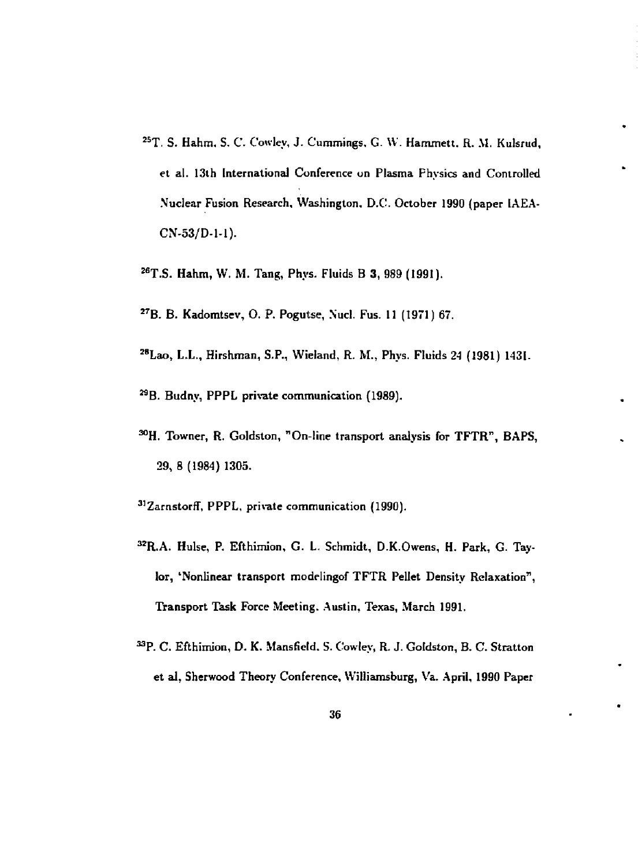- **2 5T. S. Hahm, S. C. Cowley, J. Cummings, G. \V. Hammett. R. \1. Kulsrud, et al. 13th International Conference on Plasma Physics and Controlled Nuclear Fusion Research, Washington, D.C. October 1990 (paper IAEA-CN-53/D-1-1).**
- **: eT.S. Hahm, W. M. Tang, Phys. Fluids B 3, 989 (1991).**
- **2 7B. B. Kadomtsev, O. P. Pogutse, Nucl. Fus. 11 (1971) 67.**
- **2 8Lao, L.L., Hirshman, S.P., Wieland, R. M., Phys. Fluids 24 (1981) 1431.**
- **<sup>M</sup> B . Budny, PPPL private communication (1989).**
- **^H. Towner, R. Goldston, "On-line transport analysis for TFTR", BAPS, 29, 8 (1984) 1305.**
- **3,ZamstorrT, PPPL, private communication (1990).**
- **3 2R.A. Hulse, P. Efthimion, G. L. Schmidt, D.K.Owens, H. Park, G. Taylor, 'Nonlinear transport modelingof TFTR Pellet Density Relaxation", Transport Task Force Meeting. Austin, Texas, March 1991.**
- **<sup>M</sup> P . C. Efthimion, D. K. Mansfield. S. Cowley, R. J. Goldston, B. C. Stratton et al, Sherwood Theory Conference, Williamsburg, Va. April, 1990 Paper**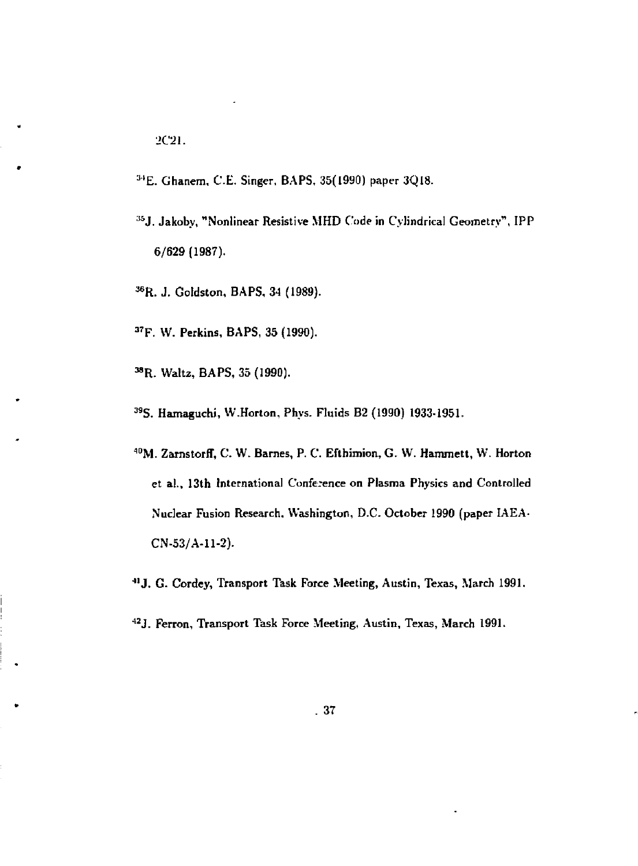- <sup>34</sup>E. Ghanem, C.E. Singer, BAPS, 35(1990) paper 3Q18.
- <sup>35</sup> J. Jakoby, "Nonlinear Resistive MHD Code in Cylindrical Geometry", IPP 6/629 (1987).
- ^ R. J. Goldston, BAPS, *34* (1989).
- <sup>37</sup>F. W. Perkins, BAPS, 35 (1990).
- 38R. Waltz, BAPS, 35 (1990).
- <sup>39</sup>S. Hamaguchi, W.Horton, Phys. Fluids B2 (1990) 1933-1951.
- <sup>40</sup>M. Zarnstorff, C. W. Barnes, P. C. Efthimion, G. W. Hammett, W. Horton et al., 13th International Conference on Plasma Physics and Controlled Nuclear Fusion Research. Washington, D.C. October 1990 (paper IAEA-CN-53/A-11-2).
- ""J. G. Cordey, Transport Task Force Meeting, Austin, Texas, March 1991.
- <sup>42</sup> J. Ferron, Transport Task Force Meeting, Austin, Texas, March 1991.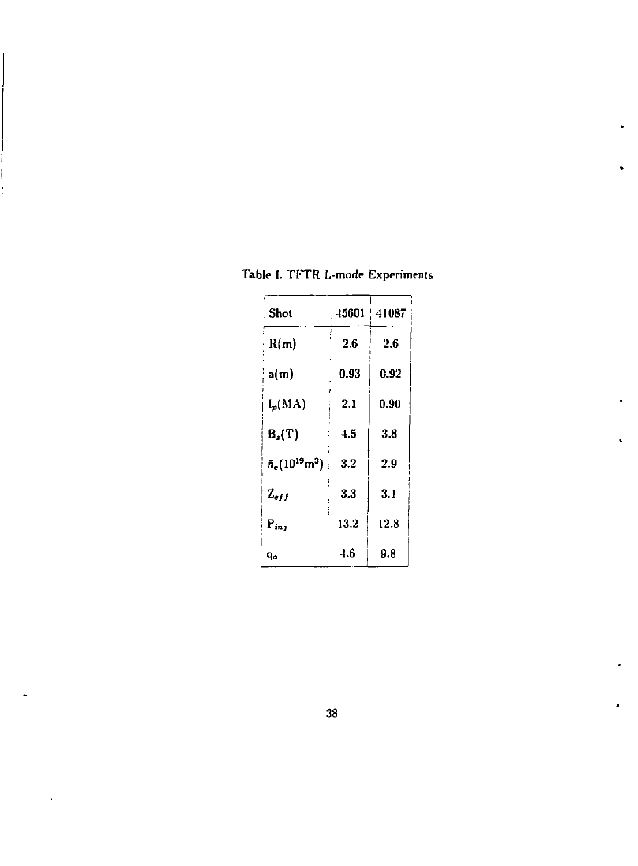| <b>Shot</b>                        | 15601 | 41087 |
|------------------------------------|-------|-------|
| R(m)                               | 26    | 2.6   |
| a(m)                               | 0.93  | 0.92  |
| $I_p(MA)$                          | 2.1   | 0.90  |
| $B_z(T)$                           | 4.5   | 3.8   |
| $\bar{n}_{e}(10^{19}\text{m}^{3})$ | 3.2   | 2.9   |
| $Z_{eff}$                          | 3.3   | 3.1   |
| $P_{inj}$                          | 13.2  | 12.8  |
| ٩a                                 | 4.6   | 9.8   |

**Table I. TFTR L-mode Experiments** 

٠

 $\ddot{\phantom{a}}$ 

 $\bar{z}$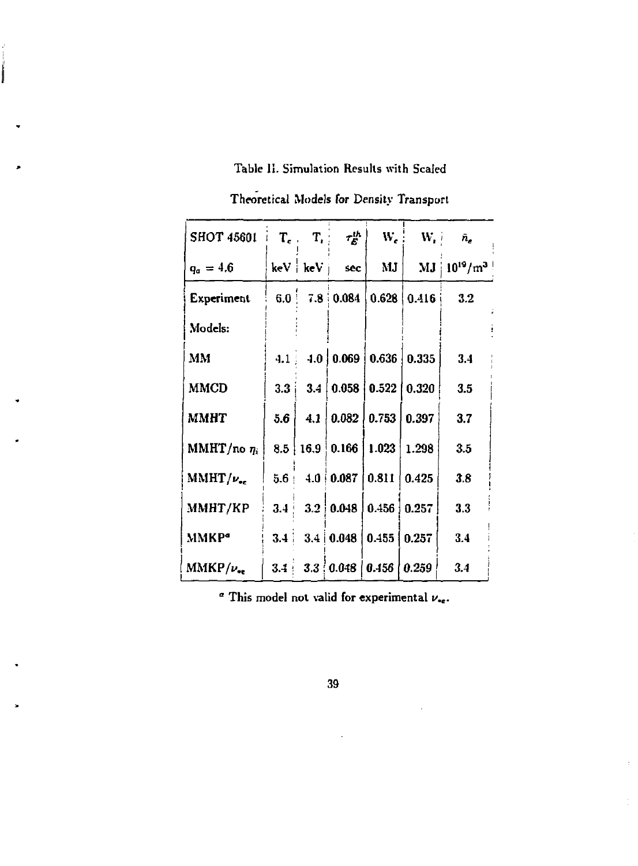# Table II. Simulation Results with Scaled

Í

| <b>SHOT 45601</b>       |                  | $T_e$ , $T_i$ | $\tau_E^{th}$       | W.,                                    |                    | $W_i$ $\bar{n}_e$                      |
|-------------------------|------------------|---------------|---------------------|----------------------------------------|--------------------|----------------------------------------|
| $q_a = 4.6$             |                  |               | $keV$   $keV$   sec | MJ                                     |                    | $\mathrm{MJ}$   $10^{19}/\mathrm{m}^3$ |
| Experiment              | 6.0 <sup>1</sup> |               | $7.8 \cdot 0.084$   |                                        | $0.628 \mid 0.416$ | 3.2                                    |
| Models:                 |                  |               |                     |                                        |                    |                                        |
| MM                      | 4.1              |               |                     | $-4.0$ 0.069 0.636                     | 0.335              | 3.4                                    |
| <b>MMCD</b>             | 3.3              |               |                     | 3.4   0.058   0.522                    | 0.320              | 3.5                                    |
| MMHT                    | 5.6              |               |                     | $4.1 \mid 0.082 \mid 0.753 \mid 0.397$ |                    | 3.7                                    |
| MMHT/no $\eta_i$        |                  |               |                     | 8.5   16.9   0.166   1.023             | 1.298              | 3.5                                    |
| $MMHT/\nu_{ee}$         |                  |               |                     | $5.6$   4.0   0.087   0.811            | 0.425              | 3.8                                    |
| MMHT/KP                 | 3.4 <sub>1</sub> |               |                     | 3.2   0.048   0.456   0.257            |                    | 3.3                                    |
| <b>MMKP</b> <sup></sup> |                  |               |                     | $3.4$   $3.4$   0.048   0.455          | 0.257              | 3.4                                    |
| $MMKP/\nu_{ee}$         |                  |               |                     | $3.4$   $3.3$   0.048   0.456   0.259  |                    | 3.4                                    |

Theoretical Models for Density Transport

° This model not valid for experimental *v.<sup>e</sup> .*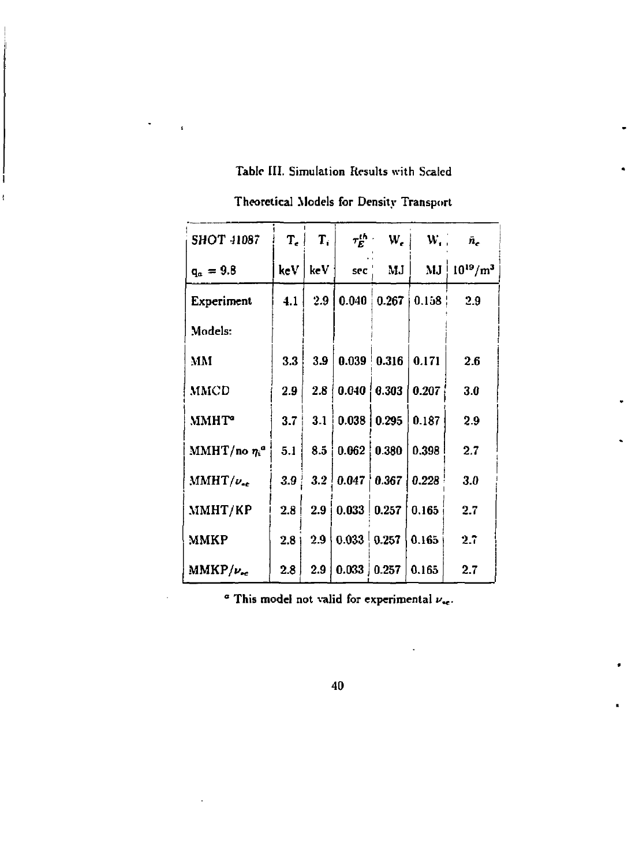#### **Table III. Simulation Results with Scaled**

ł

ī

SHOT 41087  $T_e$   $T_i$   $\tau_E^{th}$  W<sub>r</sub> W<sub>r</sub>  $\tilde{n}_e$  $q_a = 9.8$  keV keV sec' MJ MJ 10<sup>19</sup>/m<sup>3</sup> **Experiment** | 4.1 | 2.9 | 0.040 | 0.267 | 0.158 ! 2.9 Models: **1**   $MM$   $3.3 | 3.9|$  $\begin{array}{|c|c|c|c|c|}\hline 0.039 & 0.316 & 0.171 & 2.6 \ \hline \end{array}$ MMCD  $\begin{array}{|c|c|c|c|c|c|c|c|} \hline 2.9 & 2.8 & 0.040 & 0.303 & 0.207 & 3.0 \ \hline \end{array}$  $MMHT^{\circ}$  | 3.7 | 3.1 |  $0.038 | 0.295 | 0.187 | 2.9$ MMHT/no  $\eta_i^a$  5.1 8.5 0.062 0.380 0.398 2.7 MMHT/ $v_{ee}$  | 3.9 3.2 0.047 0.367 0.228  $3.0$ **i**  MMHT/KP  $2.8 \begin{array}{|c|c|c|c|} \hline 2.9 & 0.033 & 0.257 & 0.165 & 2.7 \ \hline \end{array}$ j MMKP  $\begin{array}{|c|c|c|c|c|c|c|c|c|} \hline 2.8 & 2.9 & 0.033 & 0.257 & 0.165 & 2.7 \ \hline \end{array}$  $MMKP/\nu_{sc}$  | 2.8 | 2.9 |  $\bm{0.033}$   $\bm{0.257}$   $\bm{0.165}$   $\bm{2.7}$ 

**Theoretical Models for Density Transport** 

 $\alpha$  This model not valid for experimental  $\nu_{\rm sc}$ .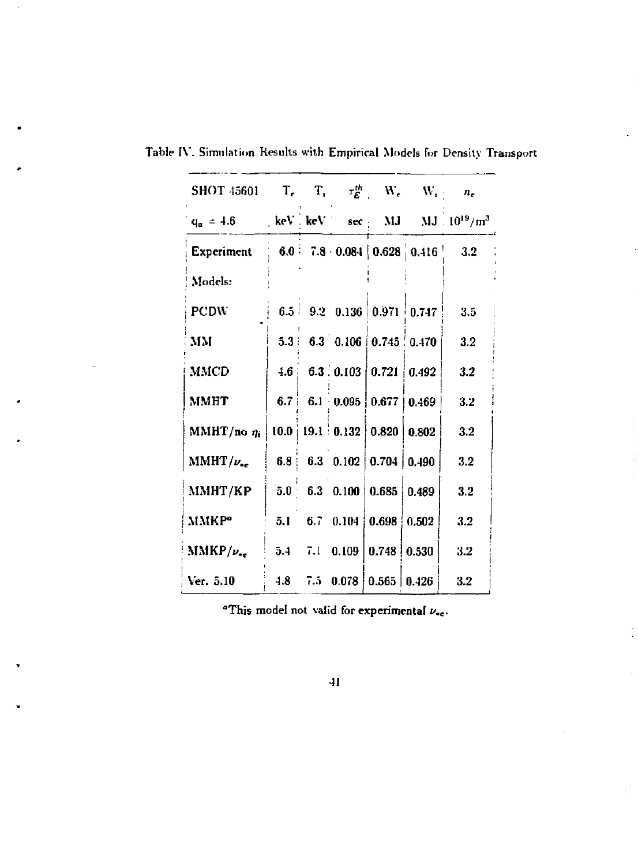| SHOT 45601 T <sub>c</sub> T <sub>i</sub> $\tau_E^{th}$ W <sub>c</sub> W <sub>i</sub> $n_e$ |         |  |                                                                                            |                                 |
|--------------------------------------------------------------------------------------------|---------|--|--------------------------------------------------------------------------------------------|---------------------------------|
| $q_a = 4.6$                                                                                |         |  |                                                                                            | keV keV sec MJ MJ $10^{19}/m^3$ |
| Experiment                                                                                 |         |  |                                                                                            | 6.0 7.8 0.084 0.628 0.416 3.2   |
| Models:                                                                                    |         |  |                                                                                            |                                 |
| <b>PCDW</b>                                                                                |         |  | 6.5 9.2 0.136 0.971 0.747                                                                  | 3.5                             |
| MM                                                                                         |         |  | $5.3 \div 6.3 \div 0.106 \div 0.745 \div 0.470$                                            | 3.2                             |
| <b>MMCD</b>                                                                                |         |  | $4.6 \begin{array}{ c c c c c c } \hline 6.3 & 0.103 & 0.721 & 0.492 \ \hline \end{array}$ | 3.2                             |
| <b>MMHT</b>                                                                                |         |  | 6.7 6.1 0.095 0.677 0.469                                                                  | 3.2                             |
| MMHT/no $\eta_i$                                                                           |         |  | $10.0$   19.1   0.132   0.820   0.802                                                      | 3.2                             |
| MMHT/ $\nu_{ee}$                                                                           |         |  | 6.8 6.3 0.102 0.704 0.490                                                                  | 3.2                             |
| ММНТ/КР                                                                                    | $5.0 -$ |  | 6.3 $0.100 \mid 0.685 \mid 0.489$                                                          | 3.2                             |
| <b>MMKP</b> <sup>o</sup>                                                                   |         |  | 5.1 6.7 0.104 $\big\vert$ 0.698 $\big\vert$ 0.502                                          | 3.2                             |
| $MMKP/\nu_{ee}$                                                                            |         |  | $5.4$ 7.1 0.109 0.748 0.530                                                                | 3.2                             |
| Ver. 5.10                                                                                  |         |  | $4.8$ 7.5 0.078 0.565 0.426                                                                | 3.2                             |

Table IV. Simulation Results with Empirical Models for Density Transport

"This model not valid for experimental  $\nu_{\bullet e}$ .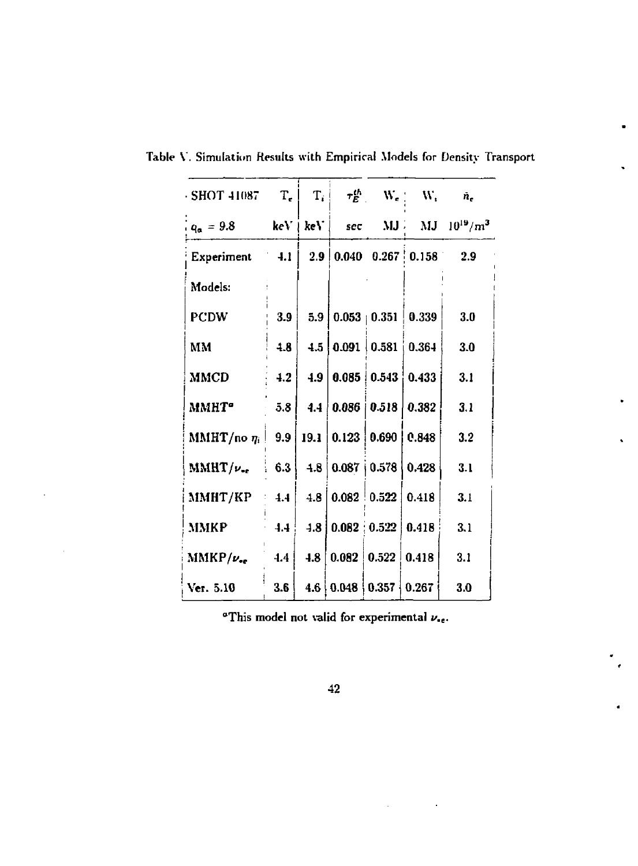| <b>SHOT 41087</b>   | $T_e$            |                             |                                        | $\left\  \mathbf{T}_i \right\  = \tau_E^{th} = \left\  \mathbf{W_e} \right\  = \left\  \mathbf{W}_i \right\ $ | $\ddot{n}_e$            |
|---------------------|------------------|-----------------------------|----------------------------------------|---------------------------------------------------------------------------------------------------------------|-------------------------|
| $q_a = 9.8$         |                  | $ {\rm keV} \pm {\rm keV} $ | <b>SCC</b>                             |                                                                                                               | $MJ$ $MJ$ $10^{19}/m^3$ |
| Experiment 4.1      |                  |                             |                                        | $2.9 \mid 0.040 \mid 0.267 \mid 0.158$                                                                        | 2.9                     |
| Models:             |                  |                             |                                        |                                                                                                               |                         |
| <b>PCDW</b>         | 3.9              |                             |                                        | $5.9 \mid 0.053 \mid 0.351 \mid 0.339$                                                                        | 3.0                     |
| MM                  | 4.8              |                             |                                        | 4.5   0.091   0.581   0.364                                                                                   | 3.0                     |
| <b>MMCD</b>         | 4.2              |                             | 4.9   0.085   0.543                    | 0.433                                                                                                         | 3.1                     |
| MMHT <sup>o</sup>   | 5.8              |                             |                                        | 4.4   0.086   0.518   0.382                                                                                   | 3.1                     |
| MMHT/no $\eta_i$    | 9.9              |                             |                                        | $19.1 \mid 0.123 \mid 0.690 \mid 0.848$                                                                       | 3.2                     |
| $MMHT/\nu_{\rm ee}$ | 6.3              |                             | $4.8$ 0.087   0.578                    | 0.428                                                                                                         | 3.1                     |
| ММНТ/КР             | 4.4              |                             | 4.8   0.082   0.522   0.418            |                                                                                                               | 3.1                     |
| ММКР                | 4.4 <sup>1</sup> |                             | 4.8   0.082   0.522   0.418            |                                                                                                               | 3.1                     |
| $MMKP/\nu_{\rm sc}$ | 4.4              | 4.8                         | $0.082 \mid 0.522 \mid 0.418 \mid$     |                                                                                                               | 3.1                     |
| Ver. 5.10           | 3.6              |                             | $4.6 \mid 0.048 \mid 0.357 \mid 0.267$ |                                                                                                               | 3.0                     |

**Table V. Simulation Results with Empirical Models for Density Transport** 

**"This model not valid for experimental** *u.<sup>e</sup> .* 

**42** 

 $\bar{z}$ 

 $\sim 10$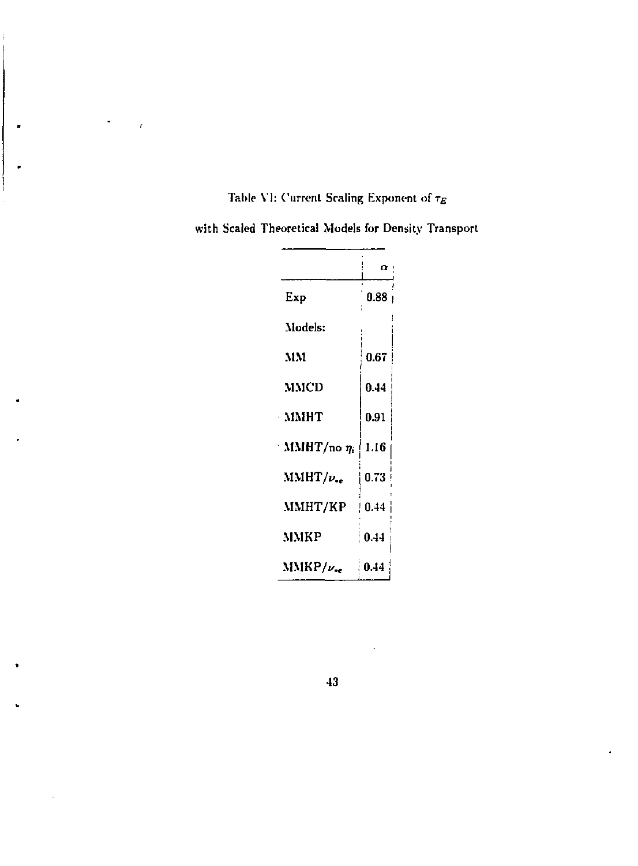# Table VI: Current Scaling Exponent of  $\tau_E$

 $\bar{r}$ 

**with Scaled Theoretical Models for Density Transport** 

|                  | $\alpha$ |
|------------------|----------|
| Exp              | 0.88     |
| Models:          |          |
| MM               | 0.67     |
| MMCD             | 0.44     |
| - ммнт           | 0.91     |
| MMHT/no $\eta_i$ | 1.16     |
| $MMHT/\nu_{ee}$  | 0.73     |
| MMHT/KP          | 0.44     |
| MMKP             | 0.44     |
| $MMRP/\nu_{ee}$  | 0.44     |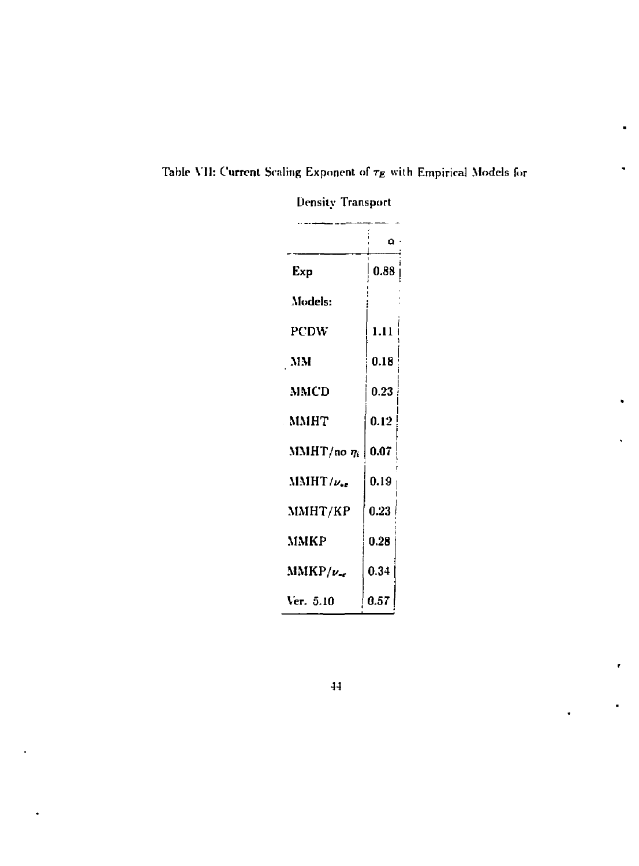|                     | ο    |
|---------------------|------|
| Exp                 | 0.88 |
| Models:             |      |
| <b>PCDW</b>         | 1.11 |
| - MM                | 0.18 |
| MMCD                | 0.23 |
| MMHT                | 0.12 |
| $MMHT/no \eta_i$    | 0.07 |
| MMHT/v.             | 0.19 |
| MMHT/KP             | 0.23 |
| MMKP                | 0.28 |
| $MMKP/\nu_{\rm sc}$ | 0.34 |
| Ver. 5.10           | 0.57 |

**Table Y1J: Current Scaling Exponent of** *TE* **with Empirical Models for** 

**Density Transport** 

**44** 

 $\pmb{\epsilon}$ 

 $\bullet$ 

 $\ddot{\phantom{0}}$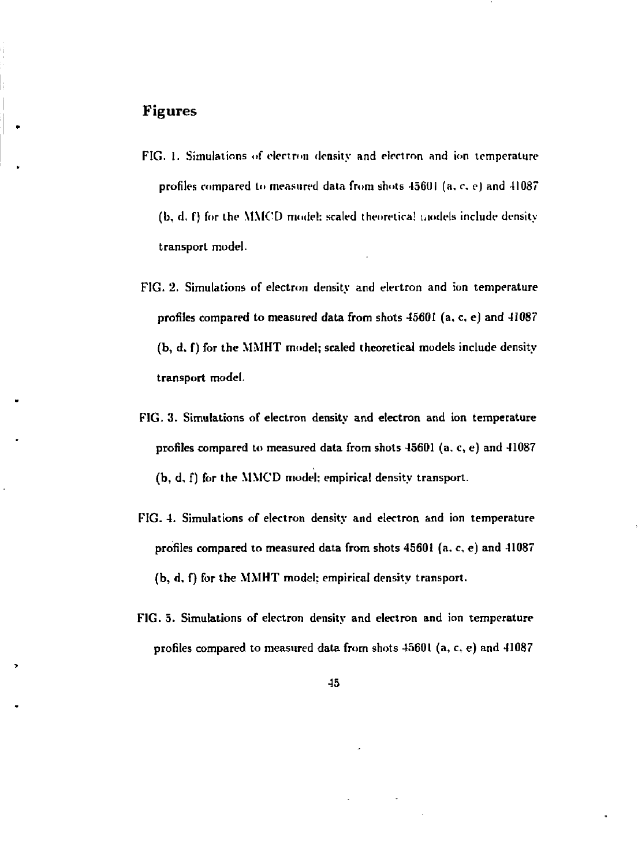#### Figures

- FIG. 1. Simulations of electron density and electron and ion temperature profiles compared to measured data from shots 45601 (a. c, e) and 41087 (b, d, f) for the MMOD model: scaled theoretical models include density transport model.
- FIG. 2. Simulations of electron density and electron and ton temperature profiles compared to measured data from shots 45601 (a. c, e) and 41087 (b, d. f) for the MMHT model; scaled theoretical models include density transport model.
- FIG. 3. Simulations of electron density and electron and ion temperature profiles compared to measured data from shots 45601 (a, c, e) and 41087 (b, d, f) for the MMCD model; empirical density transport.
- FIG. 4. Simulations of electron density and electron and ion temperature profiles compared to measured data from shots 45601 (a. c, e) and 41087 (b, d. f) for the MMHT model: empirical density transport.
- FIG. 5. Simulations of electron density and electron and ion temperature profiles compared to measured data from shots 45601 (a, c, e) and 41087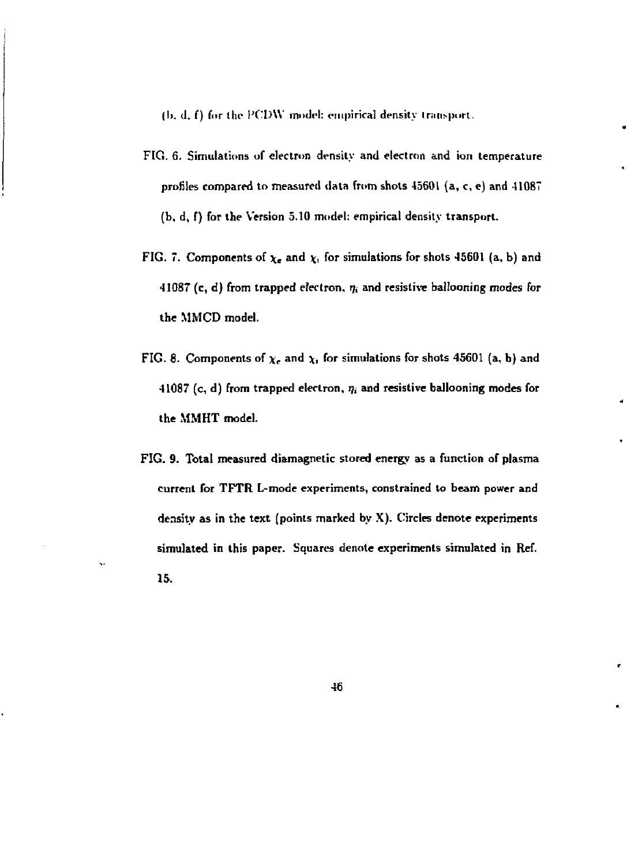**(I), d. f) fur the PC'DW model: empirical density transport.** 

- **FIG. 6. Simulations of electron density and electron and ion temperature profiles compared to measured data from shots 45601 (a, c, e) and 41087 (b, d, f) for the Version 5.10 model: empirical density transport.**
- **FIG. 7.** Components of  $\chi_e$  and  $\chi_i$  for simulations for shots 45601 (a, b) and **41087 (c, d) from trapped electron. 7, and resistive ballooning modes for the MMCD model.**
- **FIG.** 8. Components of  $\chi_e$  and  $\chi$ , for simulations for shots 45601 (a, b) and **41087** (c, d) from trapped electron,  $\eta_i$  and resistive ballooning modes for **the MMHT model.**
- **FIG. 9. Total measured diamagnetic stored energy as a function of plasma current for TFTR L-mode experiments, constrained to beam power and density as in the text (points marked by X). Circles denote experiments simulated in this paper. Squares denote experiments simulated in Ref. 15.**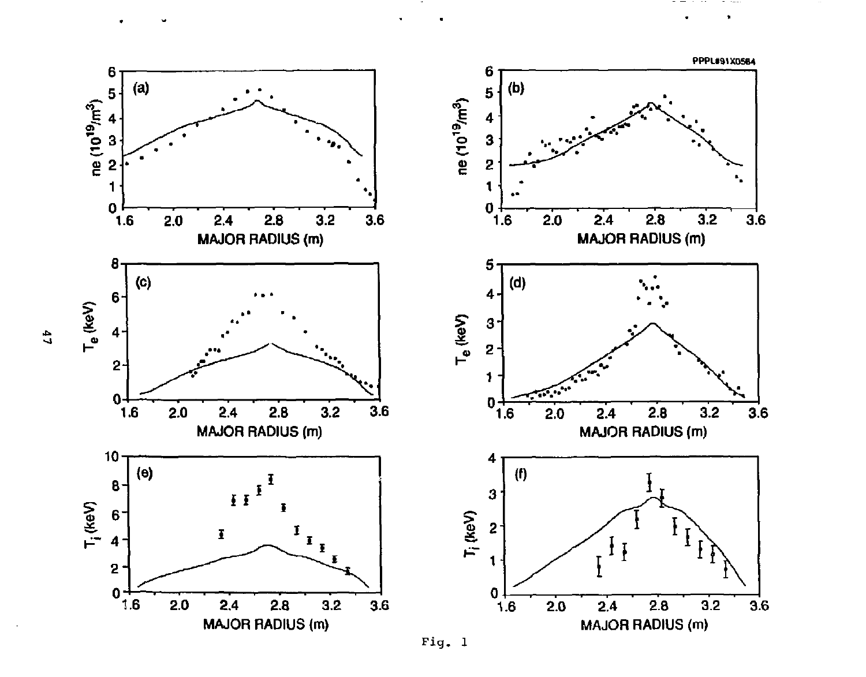

í.

Fig. 1

 $\ddot{a}$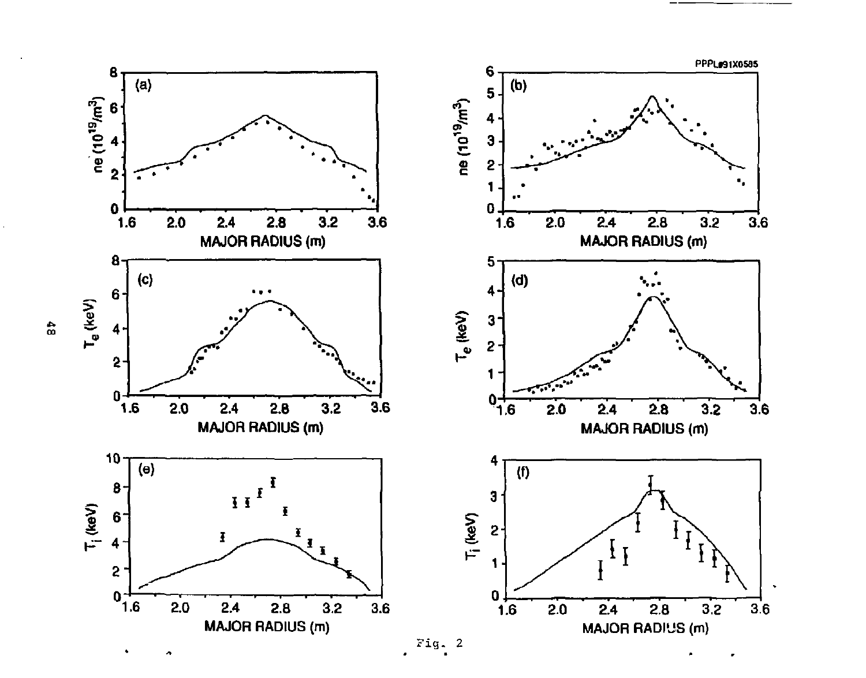

 $\frac{4}{10}$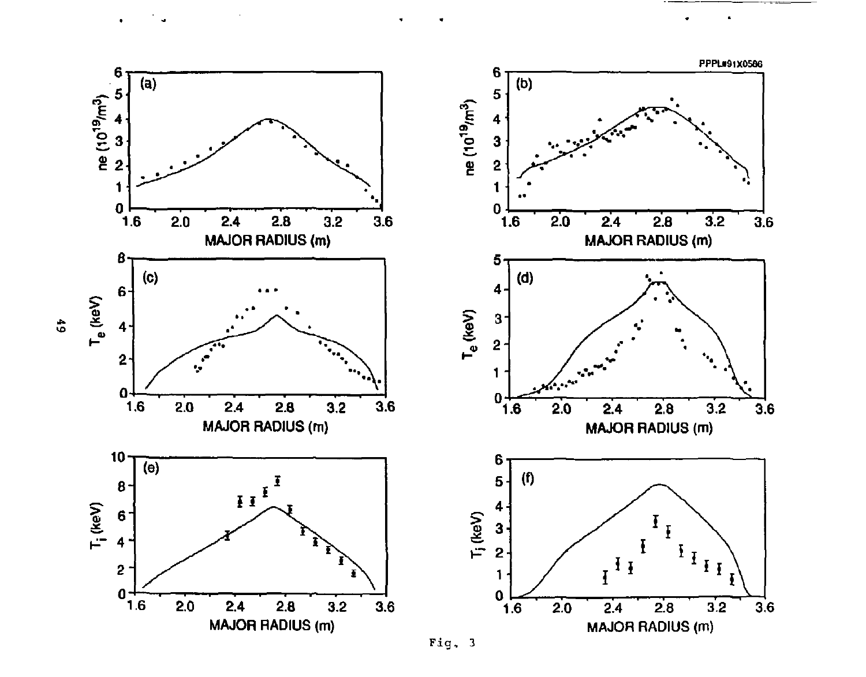

 $\blacksquare$ 

Fig. 3

 $\ddot{\bullet}$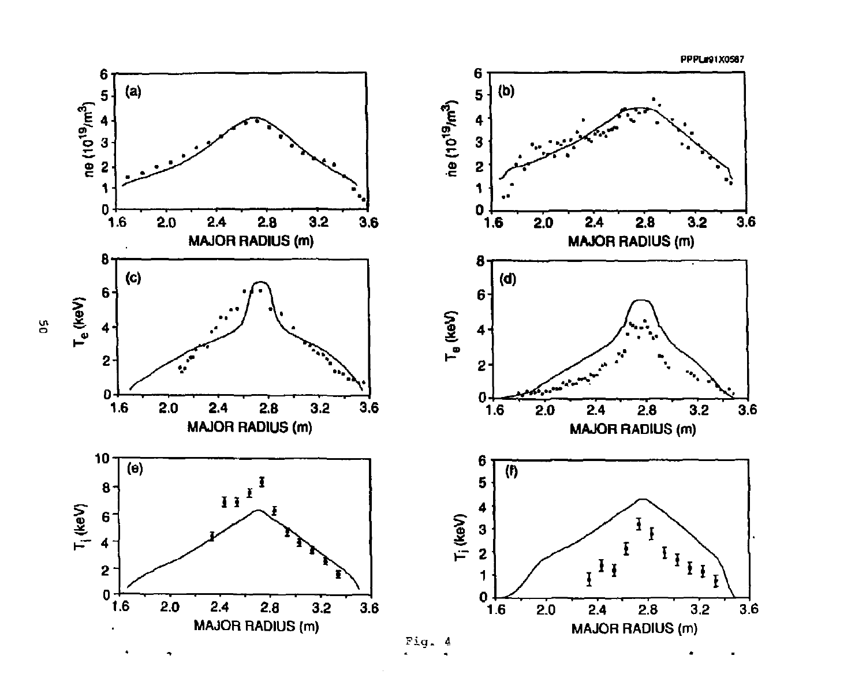**PPPLM1X0S67** 

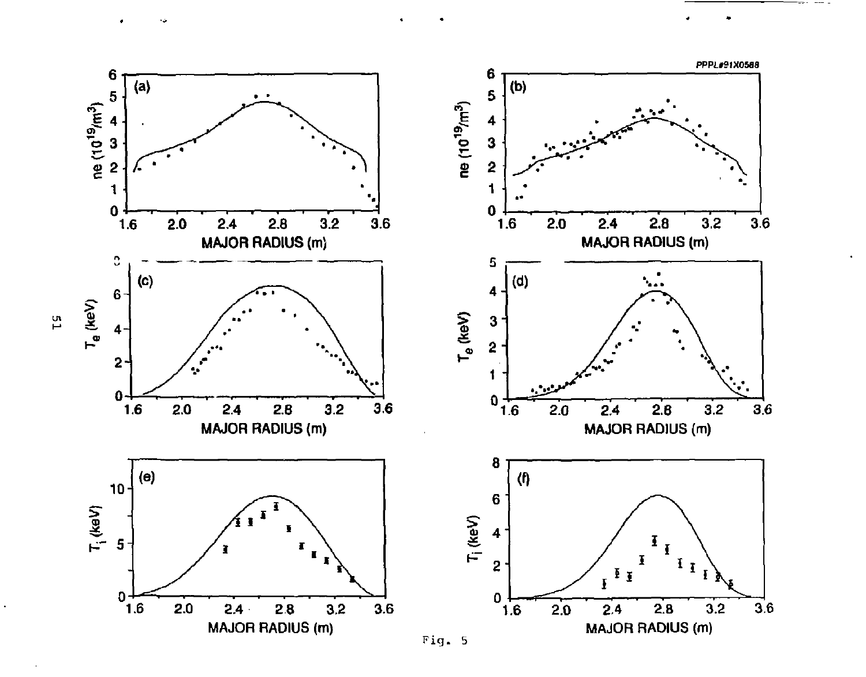

rs.

 $\ddot{\phantom{a}}$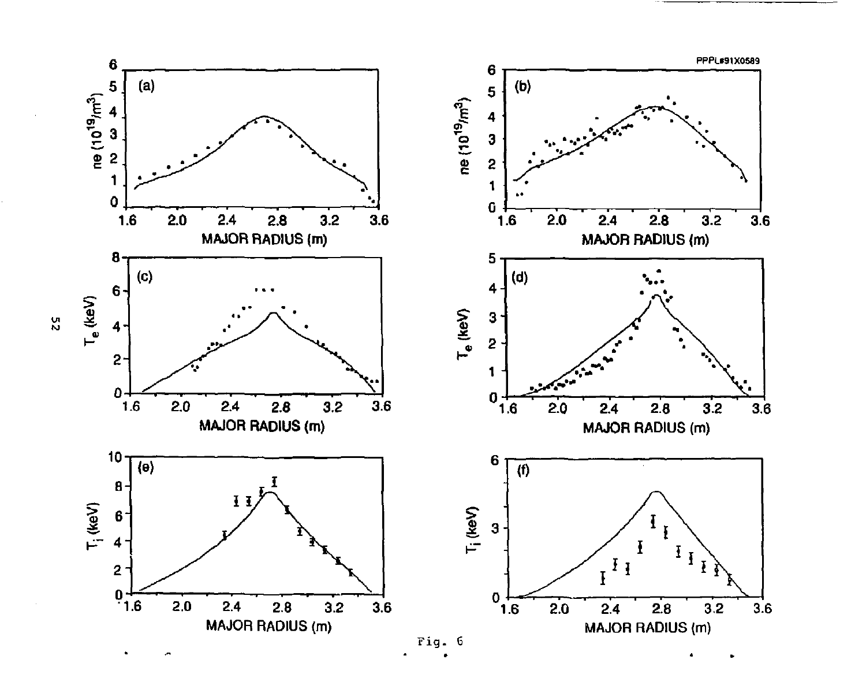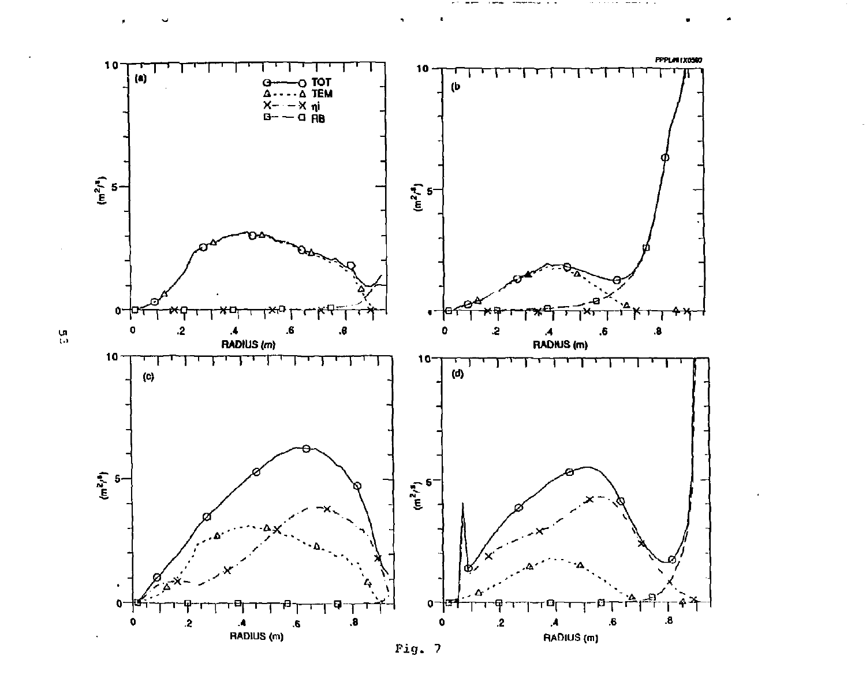

 $\mathop{\mathrm{m}}\limits_{\mathbb{C}^3}$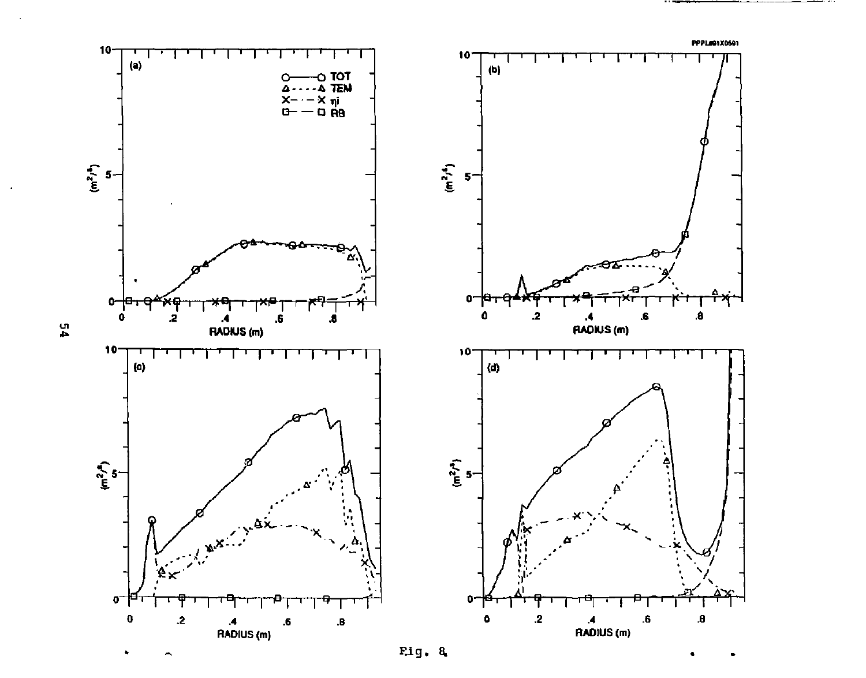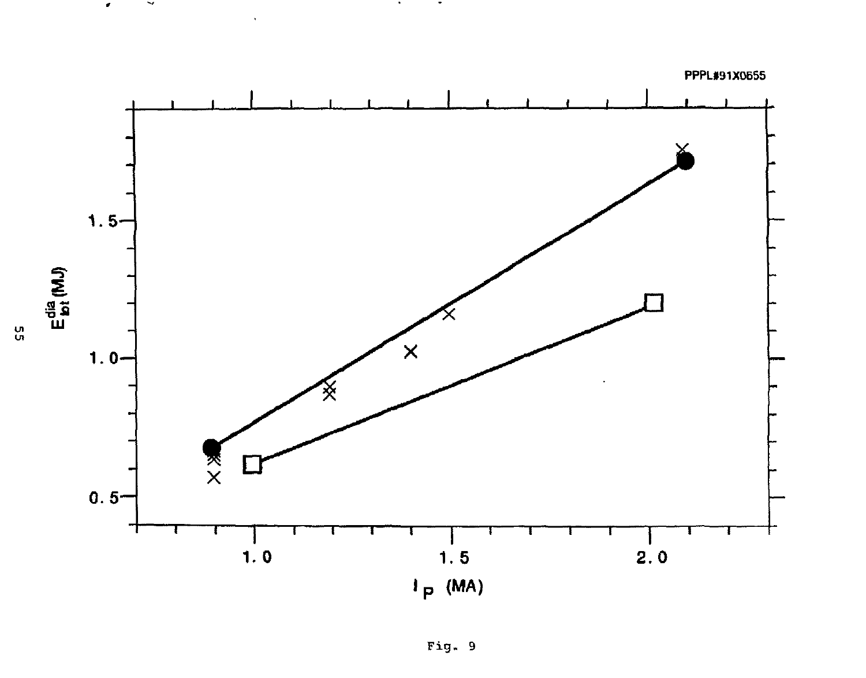

 $\blacksquare$ 

ងូ

 $\sim$   $\sim$ 

 $\bar{\phantom{a}}$